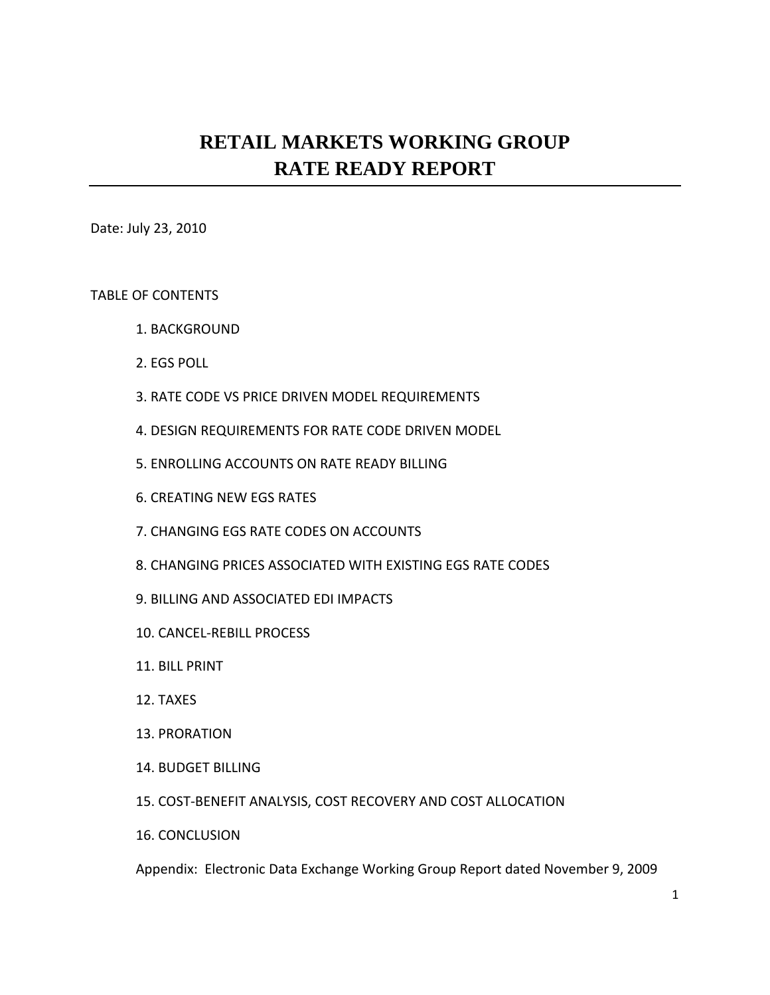# **RETAIL MARKETS WORKING GROUP RATE READY REPORT**

Date: July 23, 2010

#### TABLE OF CONTENTS

- 1. BACKGROUND
- 2. EGS POLL
- 3. RATE CODE VS PRICE DRIVEN MODEL REQUIREMENTS
- 4. DESIGN REQUIREMENTS FOR RATE CODE DRIVEN MODEL
- 5. ENROLLING ACCOUNTS ON RATE READY BILLING
- 6. CREATING NEW EGS RATES
- 7. CHANGING EGS RATE CODES ON ACCOUNTS
- 8. CHANGING PRICES ASSOCIATED WITH EXISTING EGS RATE CODES
- 9. BILLING AND ASSOCIATED EDI IMPACTS
- 10. CANCEL‐REBILL PROCESS
- 11. BILL PRINT
- 12. TAXES
- 13. PRORATION
- 14. BUDGET BILLING
- 15. COST‐BENEFIT ANALYSIS, COST RECOVERY AND COST ALLOCATION
- 16. CONCLUSION

Appendix: Electronic Data Exchange Working Group Report dated November 9, 2009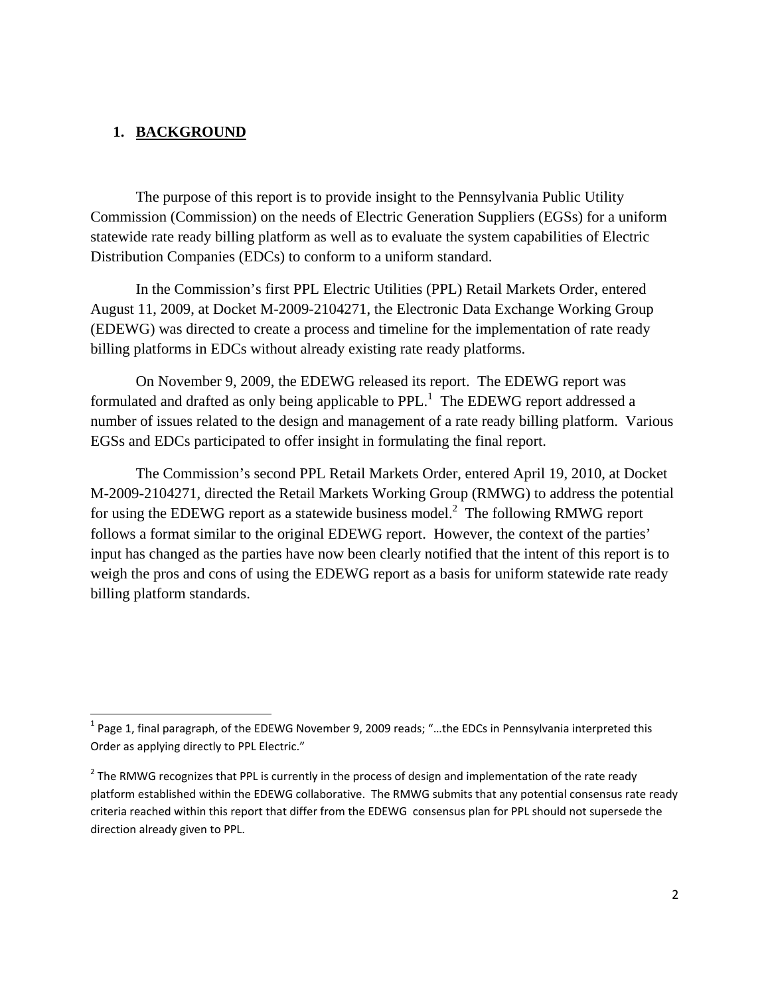## **1. BACKGROUND**

 The purpose of this report is to provide insight to the Pennsylvania Public Utility Commission (Commission) on the needs of Electric Generation Suppliers (EGSs) for a uniform statewide rate ready billing platform as well as to evaluate the system capabilities of Electric Distribution Companies (EDCs) to conform to a uniform standard.

 In the Commission's first PPL Electric Utilities (PPL) Retail Markets Order, entered August 11, 2009, at Docket M-2009-2104271, the Electronic Data Exchange Working Group (EDEWG) was directed to create a process and timeline for the implementation of rate ready billing platforms in EDCs without already existing rate ready platforms.

 On November 9, 2009, the EDEWG released its report. The EDEWG report was formulated and drafted as only being applicable to PPL.<sup>1</sup> The EDEWG report addressed a number of issues related to the design and management of a rate ready billing platform. Various EGSs and EDCs participated to offer insight in formulating the final report.

 The Commission's second PPL Retail Markets Order, entered April 19, 2010, at Docket M-2009-2104271, directed the Retail Markets Working Group (RMWG) to address the potential for using the EDEWG report as a statewide business model.<sup>2</sup> The following RMWG report follows a format similar to the original EDEWG report. However, the context of the parties' input has changed as the parties have now been clearly notified that the intent of this report is to weigh the pros and cons of using the EDEWG report as a basis for uniform statewide rate ready billing platform standards.

 $1$  Page 1, final paragraph, of the EDEWG November 9, 2009 reads; "...the EDCs in Pennsylvania interpreted this Order as applying directly to PPL Electric."

 $<sup>2</sup>$  The RMWG recognizes that PPL is currently in the process of design and implementation of the rate ready</sup> platform established within the EDEWG collaborative. The RMWG submits that any potential consensus rate ready criteria reached within this report that differ from the EDEWG consensus plan for PPL should not supersede the direction already given to PPL.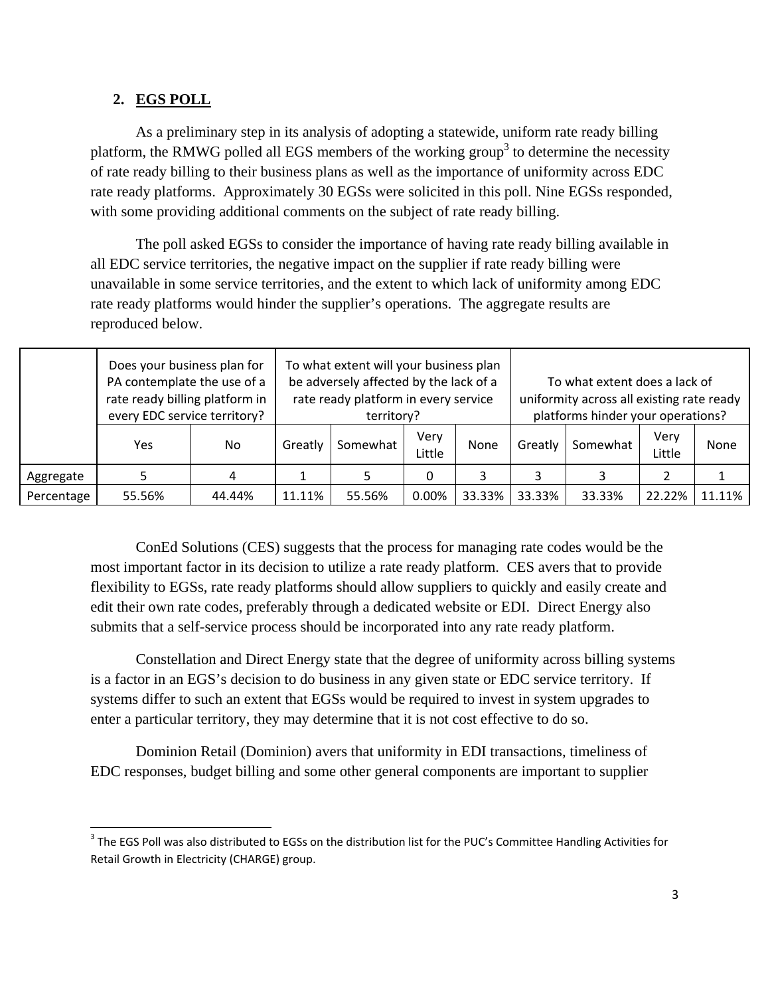## **2. EGS POLL**

As a preliminary step in its analysis of adopting a statewide, uniform rate ready billing platform, the RMWG polled all EGS members of the working group<sup>3</sup> to determine the necessity of rate ready billing to their business plans as well as the importance of uniformity across EDC rate ready platforms. Approximately 30 EGSs were solicited in this poll. Nine EGSs responded, with some providing additional comments on the subject of rate ready billing.

The poll asked EGSs to consider the importance of having rate ready billing available in all EDC service territories, the negative impact on the supplier if rate ready billing were unavailable in some service territories, and the extent to which lack of uniformity among EDC rate ready platforms would hinder the supplier's operations. The aggregate results are reproduced below.

|            | Does your business plan for<br>PA contemplate the use of a<br>rate ready billing platform in<br>every EDC service territory? |        | To what extent will your business plan<br>be adversely affected by the lack of a<br>rate ready platform in every service<br>territory? |          |                |        | To what extent does a lack of<br>uniformity across all existing rate ready<br>platforms hinder your operations? |          |                |        |
|------------|------------------------------------------------------------------------------------------------------------------------------|--------|----------------------------------------------------------------------------------------------------------------------------------------|----------|----------------|--------|-----------------------------------------------------------------------------------------------------------------|----------|----------------|--------|
|            | Yes                                                                                                                          | No     | Greatly                                                                                                                                | Somewhat | Very<br>Little | None   | Greatly                                                                                                         | Somewhat | Very<br>Little | None   |
| Aggregate  |                                                                                                                              | 4      |                                                                                                                                        |          |                |        |                                                                                                                 |          |                |        |
| Percentage | 55.56%                                                                                                                       | 44.44% | 11.11%                                                                                                                                 | 55.56%   | 0.00%          | 33.33% | 33.33%                                                                                                          | 33.33%   | 22.22%         | 11.11% |

ConEd Solutions (CES) suggests that the process for managing rate codes would be the most important factor in its decision to utilize a rate ready platform. CES avers that to provide flexibility to EGSs, rate ready platforms should allow suppliers to quickly and easily create and edit their own rate codes, preferably through a dedicated website or EDI. Direct Energy also submits that a self-service process should be incorporated into any rate ready platform.

Constellation and Direct Energy state that the degree of uniformity across billing systems is a factor in an EGS's decision to do business in any given state or EDC service territory. If systems differ to such an extent that EGSs would be required to invest in system upgrades to enter a particular territory, they may determine that it is not cost effective to do so.

Dominion Retail (Dominion) avers that uniformity in EDI transactions, timeliness of EDC responses, budget billing and some other general components are important to supplier

 <sup>3</sup> The EGS Poll was also distributed to EGSs on the distribution list for the PUC's Committee Handling Activities for Retail Growth in Electricity (CHARGE) group.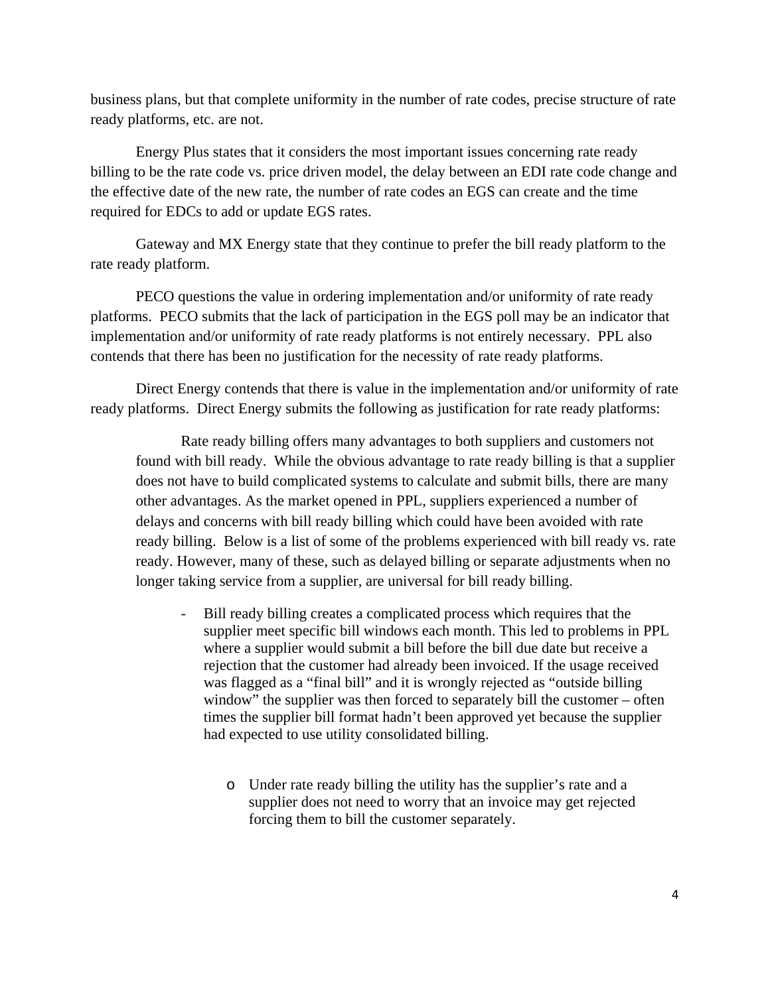business plans, but that complete uniformity in the number of rate codes, precise structure of rate ready platforms, etc. are not.

Energy Plus states that it considers the most important issues concerning rate ready billing to be the rate code vs. price driven model, the delay between an EDI rate code change and the effective date of the new rate, the number of rate codes an EGS can create and the time required for EDCs to add or update EGS rates.

Gateway and MX Energy state that they continue to prefer the bill ready platform to the rate ready platform.

PECO questions the value in ordering implementation and/or uniformity of rate ready platforms. PECO submits that the lack of participation in the EGS poll may be an indicator that implementation and/or uniformity of rate ready platforms is not entirely necessary. PPL also contends that there has been no justification for the necessity of rate ready platforms.

Direct Energy contends that there is value in the implementation and/or uniformity of rate ready platforms. Direct Energy submits the following as justification for rate ready platforms:

Rate ready billing offers many advantages to both suppliers and customers not found with bill ready. While the obvious advantage to rate ready billing is that a supplier does not have to build complicated systems to calculate and submit bills, there are many other advantages. As the market opened in PPL, suppliers experienced a number of delays and concerns with bill ready billing which could have been avoided with rate ready billing. Below is a list of some of the problems experienced with bill ready vs. rate ready. However, many of these, such as delayed billing or separate adjustments when no longer taking service from a supplier, are universal for bill ready billing.

- Bill ready billing creates a complicated process which requires that the supplier meet specific bill windows each month. This led to problems in PPL where a supplier would submit a bill before the bill due date but receive a rejection that the customer had already been invoiced. If the usage received was flagged as a "final bill" and it is wrongly rejected as "outside billing window" the supplier was then forced to separately bill the customer – often times the supplier bill format hadn't been approved yet because the supplier had expected to use utility consolidated billing.
	- o Under rate ready billing the utility has the supplier's rate and a supplier does not need to worry that an invoice may get rejected forcing them to bill the customer separately.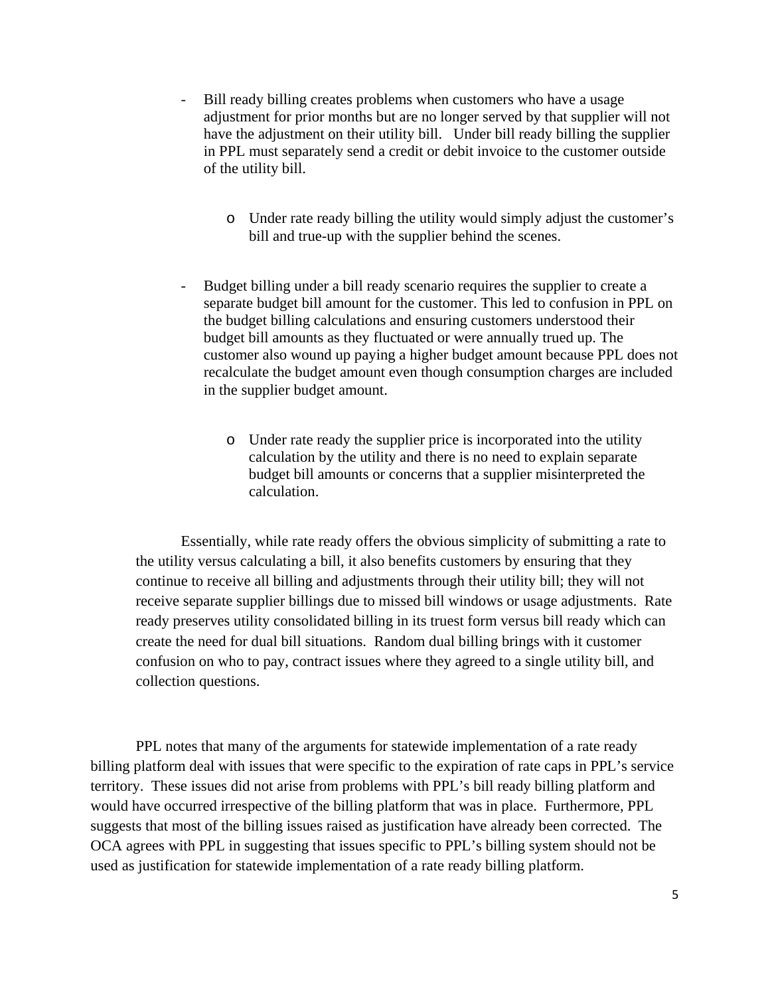- Bill ready billing creates problems when customers who have a usage adjustment for prior months but are no longer served by that supplier will not have the adjustment on their utility bill. Under bill ready billing the supplier in PPL must separately send a credit or debit invoice to the customer outside of the utility bill.
	- o Under rate ready billing the utility would simply adjust the customer's bill and true-up with the supplier behind the scenes.
- Budget billing under a bill ready scenario requires the supplier to create a separate budget bill amount for the customer. This led to confusion in PPL on the budget billing calculations and ensuring customers understood their budget bill amounts as they fluctuated or were annually trued up. The customer also wound up paying a higher budget amount because PPL does not recalculate the budget amount even though consumption charges are included in the supplier budget amount.
	- o Under rate ready the supplier price is incorporated into the utility calculation by the utility and there is no need to explain separate budget bill amounts or concerns that a supplier misinterpreted the calculation.

Essentially, while rate ready offers the obvious simplicity of submitting a rate to the utility versus calculating a bill, it also benefits customers by ensuring that they continue to receive all billing and adjustments through their utility bill; they will not receive separate supplier billings due to missed bill windows or usage adjustments. Rate ready preserves utility consolidated billing in its truest form versus bill ready which can create the need for dual bill situations. Random dual billing brings with it customer confusion on who to pay, contract issues where they agreed to a single utility bill, and collection questions.

PPL notes that many of the arguments for statewide implementation of a rate ready billing platform deal with issues that were specific to the expiration of rate caps in PPL's service territory. These issues did not arise from problems with PPL's bill ready billing platform and would have occurred irrespective of the billing platform that was in place. Furthermore, PPL suggests that most of the billing issues raised as justification have already been corrected. The OCA agrees with PPL in suggesting that issues specific to PPL's billing system should not be used as justification for statewide implementation of a rate ready billing platform.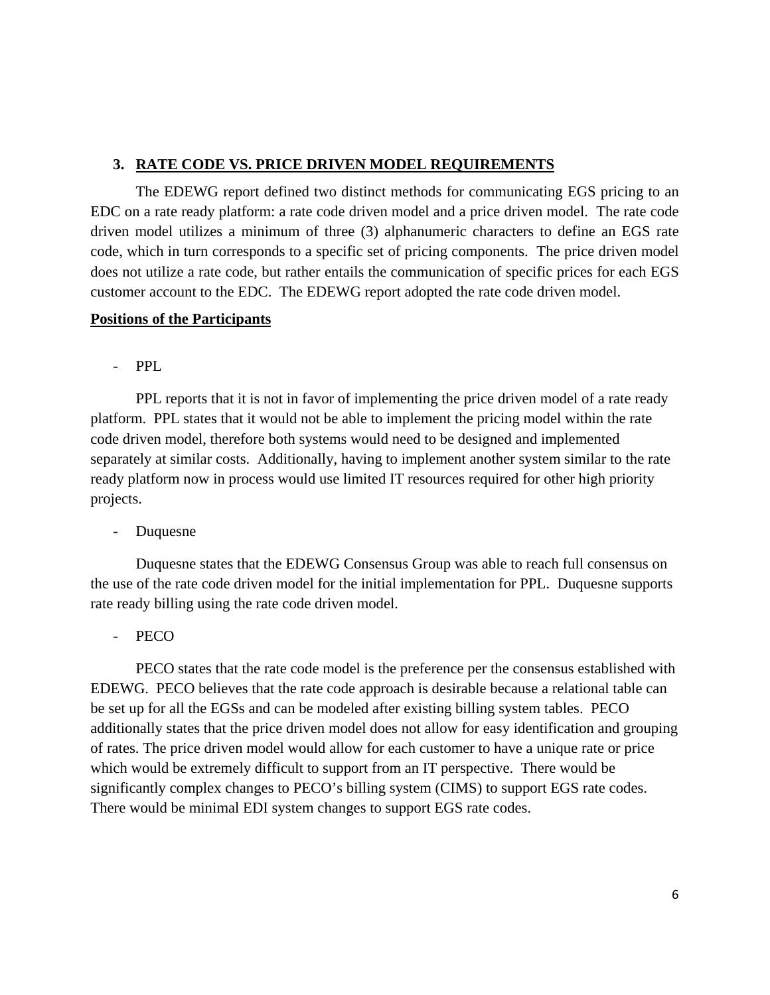## **3. RATE CODE VS. PRICE DRIVEN MODEL REQUIREMENTS**

The EDEWG report defined two distinct methods for communicating EGS pricing to an EDC on a rate ready platform: a rate code driven model and a price driven model. The rate code driven model utilizes a minimum of three (3) alphanumeric characters to define an EGS rate code, which in turn corresponds to a specific set of pricing components. The price driven model does not utilize a rate code, but rather entails the communication of specific prices for each EGS customer account to the EDC. The EDEWG report adopted the rate code driven model.

#### **Positions of the Participants**

- PPL

PPL reports that it is not in favor of implementing the price driven model of a rate ready platform. PPL states that it would not be able to implement the pricing model within the rate code driven model, therefore both systems would need to be designed and implemented separately at similar costs. Additionally, having to implement another system similar to the rate ready platform now in process would use limited IT resources required for other high priority projects.

**Duquesne** 

Duquesne states that the EDEWG Consensus Group was able to reach full consensus on the use of the rate code driven model for the initial implementation for PPL. Duquesne supports rate ready billing using the rate code driven model.

PECO

 PECO states that the rate code model is the preference per the consensus established with EDEWG. PECO believes that the rate code approach is desirable because a relational table can be set up for all the EGSs and can be modeled after existing billing system tables. PECO additionally states that the price driven model does not allow for easy identification and grouping of rates. The price driven model would allow for each customer to have a unique rate or price which would be extremely difficult to support from an IT perspective. There would be significantly complex changes to PECO's billing system (CIMS) to support EGS rate codes. There would be minimal EDI system changes to support EGS rate codes.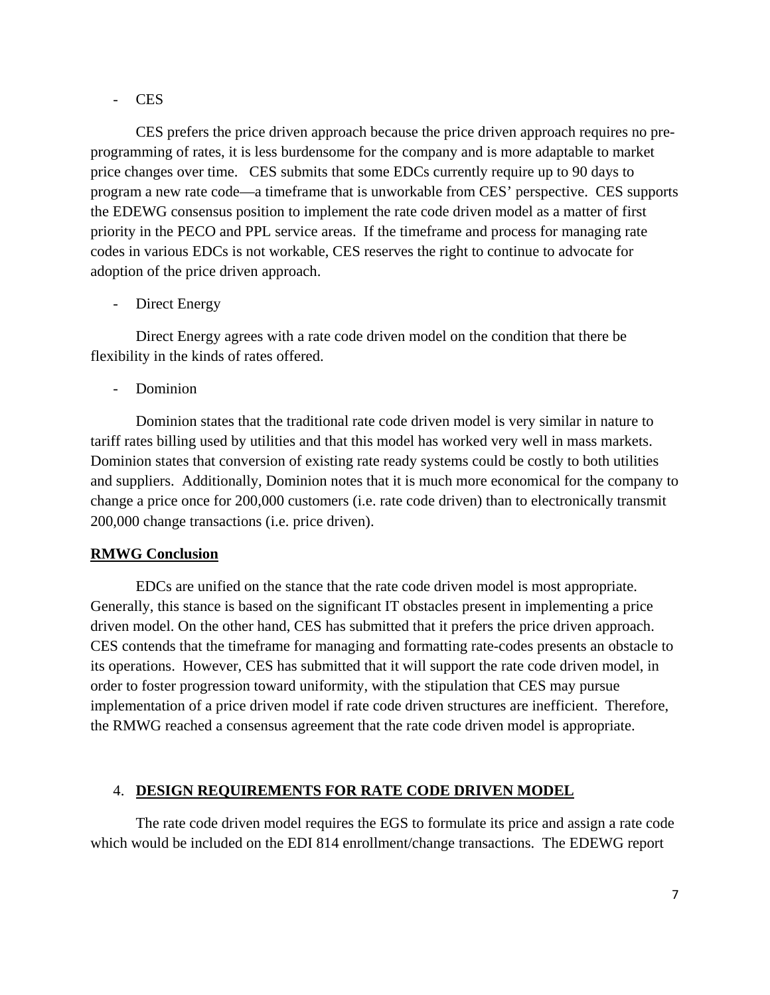#### - CES

CES prefers the price driven approach because the price driven approach requires no preprogramming of rates, it is less burdensome for the company and is more adaptable to market price changes over time. CES submits that some EDCs currently require up to 90 days to program a new rate code—a timeframe that is unworkable from CES' perspective. CES supports the EDEWG consensus position to implement the rate code driven model as a matter of first priority in the PECO and PPL service areas. If the timeframe and process for managing rate codes in various EDCs is not workable, CES reserves the right to continue to advocate for adoption of the price driven approach.

Direct Energy

Direct Energy agrees with a rate code driven model on the condition that there be flexibility in the kinds of rates offered.

- Dominion

Dominion states that the traditional rate code driven model is very similar in nature to tariff rates billing used by utilities and that this model has worked very well in mass markets. Dominion states that conversion of existing rate ready systems could be costly to both utilities and suppliers. Additionally, Dominion notes that it is much more economical for the company to change a price once for 200,000 customers (i.e. rate code driven) than to electronically transmit 200,000 change transactions (i.e. price driven).

## **RMWG Conclusion**

 EDCs are unified on the stance that the rate code driven model is most appropriate. Generally, this stance is based on the significant IT obstacles present in implementing a price driven model. On the other hand, CES has submitted that it prefers the price driven approach. CES contends that the timeframe for managing and formatting rate-codes presents an obstacle to its operations. However, CES has submitted that it will support the rate code driven model, in order to foster progression toward uniformity, with the stipulation that CES may pursue implementation of a price driven model if rate code driven structures are inefficient. Therefore, the RMWG reached a consensus agreement that the rate code driven model is appropriate.

## 4. **DESIGN REQUIREMENTS FOR RATE CODE DRIVEN MODEL**

 The rate code driven model requires the EGS to formulate its price and assign a rate code which would be included on the EDI 814 enrollment/change transactions. The EDEWG report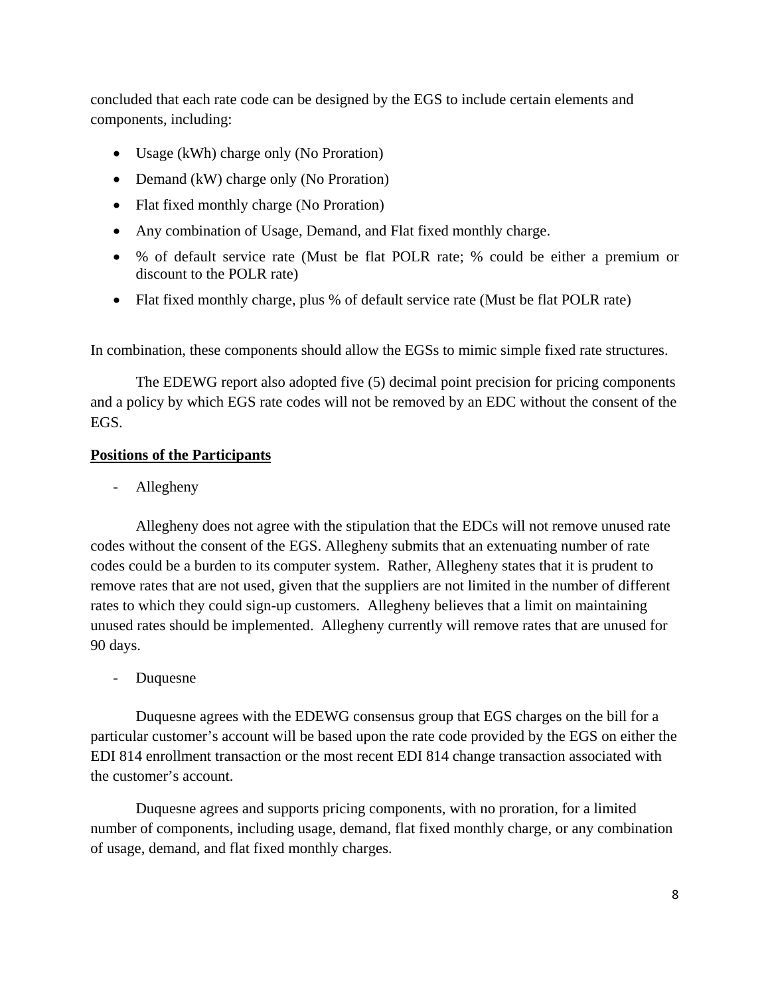concluded that each rate code can be designed by the EGS to include certain elements and components, including:

- Usage (kWh) charge only (No Proration)
- Demand (kW) charge only (No Proration)
- Flat fixed monthly charge (No Proration)
- Any combination of Usage, Demand, and Flat fixed monthly charge.
- % of default service rate (Must be flat POLR rate; % could be either a premium or discount to the POLR rate)
- Flat fixed monthly charge, plus % of default service rate (Must be flat POLR rate)

In combination, these components should allow the EGSs to mimic simple fixed rate structures.

The EDEWG report also adopted five (5) decimal point precision for pricing components and a policy by which EGS rate codes will not be removed by an EDC without the consent of the EGS.

## **Positions of the Participants**

- Allegheny

Allegheny does not agree with the stipulation that the EDCs will not remove unused rate codes without the consent of the EGS. Allegheny submits that an extenuating number of rate codes could be a burden to its computer system. Rather, Allegheny states that it is prudent to remove rates that are not used, given that the suppliers are not limited in the number of different rates to which they could sign-up customers. Allegheny believes that a limit on maintaining unused rates should be implemented. Allegheny currently will remove rates that are unused for 90 days.

- Duquesne

Duquesne agrees with the EDEWG consensus group that EGS charges on the bill for a particular customer's account will be based upon the rate code provided by the EGS on either the EDI 814 enrollment transaction or the most recent EDI 814 change transaction associated with the customer's account.

Duquesne agrees and supports pricing components, with no proration, for a limited number of components, including usage, demand, flat fixed monthly charge, or any combination of usage, demand, and flat fixed monthly charges.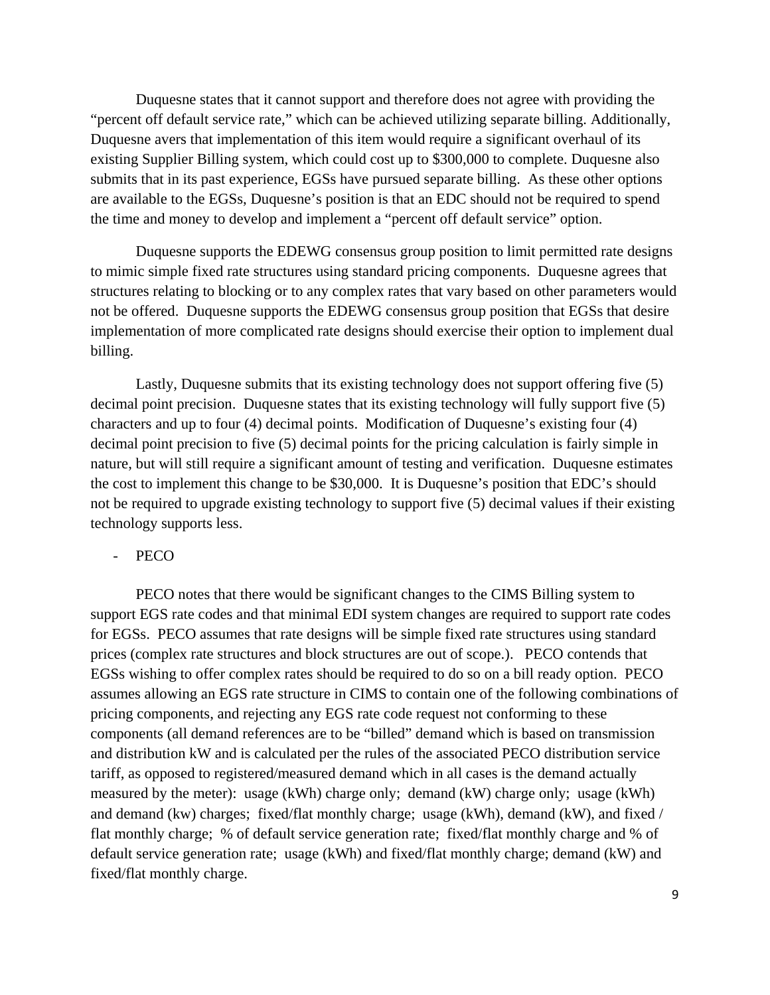Duquesne states that it cannot support and therefore does not agree with providing the "percent off default service rate," which can be achieved utilizing separate billing. Additionally, Duquesne avers that implementation of this item would require a significant overhaul of its existing Supplier Billing system, which could cost up to \$300,000 to complete. Duquesne also submits that in its past experience, EGSs have pursued separate billing. As these other options are available to the EGSs, Duquesne's position is that an EDC should not be required to spend the time and money to develop and implement a "percent off default service" option.

Duquesne supports the EDEWG consensus group position to limit permitted rate designs to mimic simple fixed rate structures using standard pricing components. Duquesne agrees that structures relating to blocking or to any complex rates that vary based on other parameters would not be offered. Duquesne supports the EDEWG consensus group position that EGSs that desire implementation of more complicated rate designs should exercise their option to implement dual billing.

Lastly, Duquesne submits that its existing technology does not support offering five (5) decimal point precision. Duquesne states that its existing technology will fully support five (5) characters and up to four (4) decimal points. Modification of Duquesne's existing four (4) decimal point precision to five (5) decimal points for the pricing calculation is fairly simple in nature, but will still require a significant amount of testing and verification. Duquesne estimates the cost to implement this change to be \$30,000. It is Duquesne's position that EDC's should not be required to upgrade existing technology to support five (5) decimal values if their existing technology supports less.

#### PECO

PECO notes that there would be significant changes to the CIMS Billing system to support EGS rate codes and that minimal EDI system changes are required to support rate codes for EGSs. PECO assumes that rate designs will be simple fixed rate structures using standard prices (complex rate structures and block structures are out of scope.). PECO contends that EGSs wishing to offer complex rates should be required to do so on a bill ready option. PECO assumes allowing an EGS rate structure in CIMS to contain one of the following combinations of pricing components, and rejecting any EGS rate code request not conforming to these components (all demand references are to be "billed" demand which is based on transmission and distribution kW and is calculated per the rules of the associated PECO distribution service tariff, as opposed to registered/measured demand which in all cases is the demand actually measured by the meter): usage (kWh) charge only; demand (kW) charge only; usage (kWh) and demand (kw) charges; fixed/flat monthly charge; usage (kWh), demand (kW), and fixed / flat monthly charge; % of default service generation rate; fixed/flat monthly charge and % of default service generation rate; usage (kWh) and fixed/flat monthly charge; demand (kW) and fixed/flat monthly charge.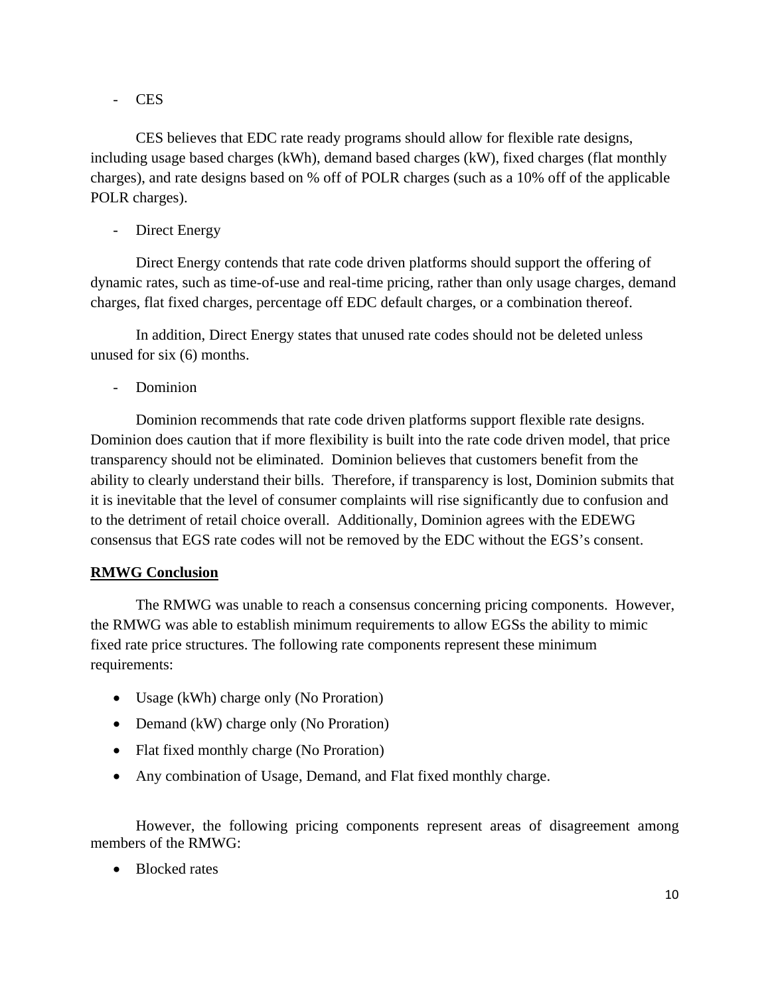- CES

CES believes that EDC rate ready programs should allow for flexible rate designs, including usage based charges (kWh), demand based charges (kW), fixed charges (flat monthly charges), and rate designs based on % off of POLR charges (such as a 10% off of the applicable POLR charges).

- Direct Energy

Direct Energy contends that rate code driven platforms should support the offering of dynamic rates, such as time-of-use and real-time pricing, rather than only usage charges, demand charges, flat fixed charges, percentage off EDC default charges, or a combination thereof.

In addition, Direct Energy states that unused rate codes should not be deleted unless unused for six (6) months.

- Dominion

Dominion recommends that rate code driven platforms support flexible rate designs. Dominion does caution that if more flexibility is built into the rate code driven model, that price transparency should not be eliminated. Dominion believes that customers benefit from the ability to clearly understand their bills. Therefore, if transparency is lost, Dominion submits that it is inevitable that the level of consumer complaints will rise significantly due to confusion and to the detriment of retail choice overall. Additionally, Dominion agrees with the EDEWG consensus that EGS rate codes will not be removed by the EDC without the EGS's consent.

## **RMWG Conclusion**

The RMWG was unable to reach a consensus concerning pricing components. However, the RMWG was able to establish minimum requirements to allow EGSs the ability to mimic fixed rate price structures. The following rate components represent these minimum requirements:

- Usage (kWh) charge only (No Proration)
- Demand (kW) charge only (No Proration)
- Flat fixed monthly charge (No Proration)
- Any combination of Usage, Demand, and Flat fixed monthly charge.

However, the following pricing components represent areas of disagreement among members of the RMWG:

• Blocked rates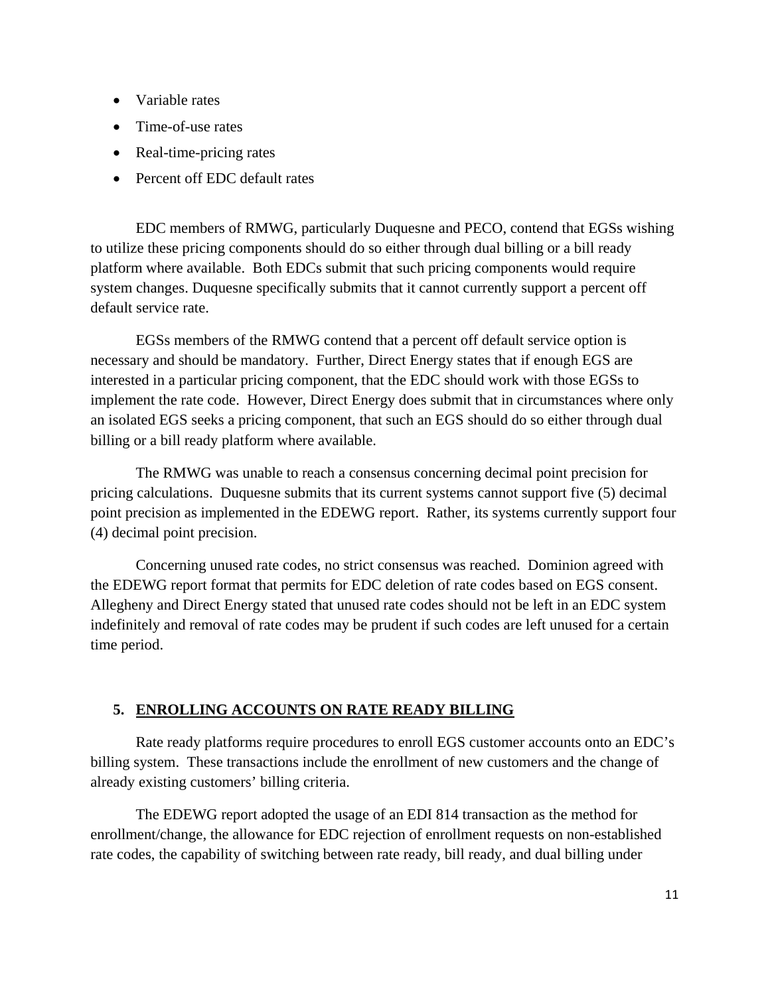- Variable rates
- Time-of-use rates
- Real-time-pricing rates
- Percent off EDC default rates

EDC members of RMWG, particularly Duquesne and PECO, contend that EGSs wishing to utilize these pricing components should do so either through dual billing or a bill ready platform where available. Both EDCs submit that such pricing components would require system changes. Duquesne specifically submits that it cannot currently support a percent off default service rate.

EGSs members of the RMWG contend that a percent off default service option is necessary and should be mandatory. Further, Direct Energy states that if enough EGS are interested in a particular pricing component, that the EDC should work with those EGSs to implement the rate code. However, Direct Energy does submit that in circumstances where only an isolated EGS seeks a pricing component, that such an EGS should do so either through dual billing or a bill ready platform where available.

The RMWG was unable to reach a consensus concerning decimal point precision for pricing calculations. Duquesne submits that its current systems cannot support five (5) decimal point precision as implemented in the EDEWG report. Rather, its systems currently support four (4) decimal point precision.

Concerning unused rate codes, no strict consensus was reached. Dominion agreed with the EDEWG report format that permits for EDC deletion of rate codes based on EGS consent. Allegheny and Direct Energy stated that unused rate codes should not be left in an EDC system indefinitely and removal of rate codes may be prudent if such codes are left unused for a certain time period.

## **5. ENROLLING ACCOUNTS ON RATE READY BILLING**

Rate ready platforms require procedures to enroll EGS customer accounts onto an EDC's billing system. These transactions include the enrollment of new customers and the change of already existing customers' billing criteria.

The EDEWG report adopted the usage of an EDI 814 transaction as the method for enrollment/change, the allowance for EDC rejection of enrollment requests on non-established rate codes, the capability of switching between rate ready, bill ready, and dual billing under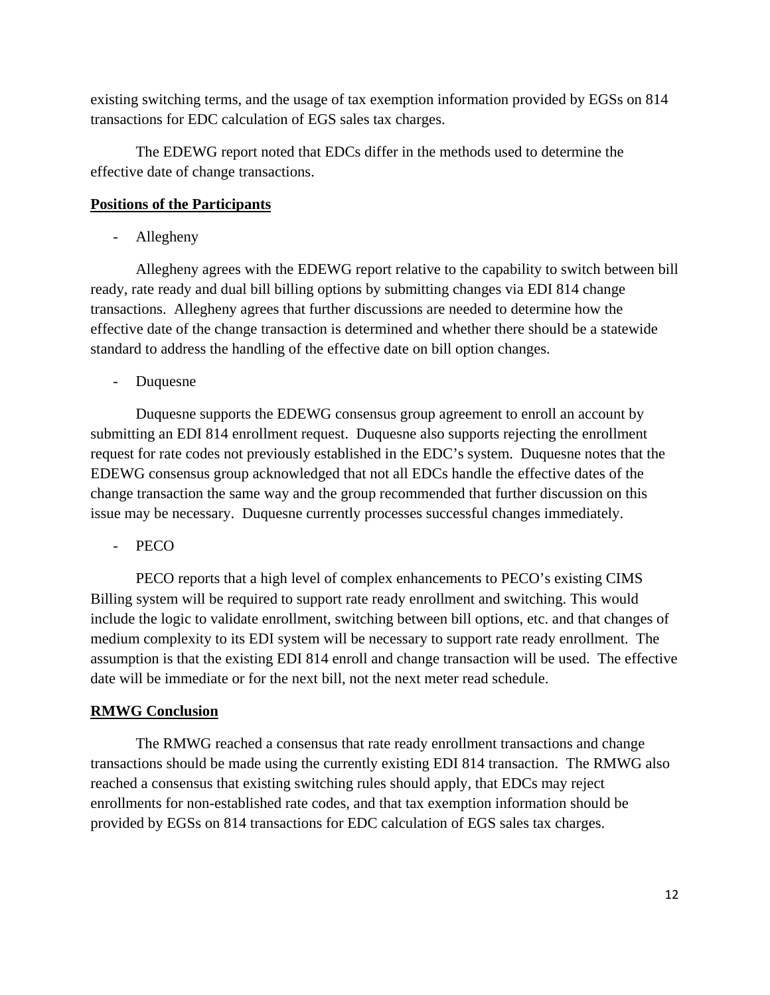existing switching terms, and the usage of tax exemption information provided by EGSs on 814 transactions for EDC calculation of EGS sales tax charges.

The EDEWG report noted that EDCs differ in the methods used to determine the effective date of change transactions.

## **Positions of the Participants**

- Allegheny

Allegheny agrees with the EDEWG report relative to the capability to switch between bill ready, rate ready and dual bill billing options by submitting changes via EDI 814 change transactions. Allegheny agrees that further discussions are needed to determine how the effective date of the change transaction is determined and whether there should be a statewide standard to address the handling of the effective date on bill option changes.

- Duquesne

 Duquesne supports the EDEWG consensus group agreement to enroll an account by submitting an EDI 814 enrollment request. Duquesne also supports rejecting the enrollment request for rate codes not previously established in the EDC's system. Duquesne notes that the EDEWG consensus group acknowledged that not all EDCs handle the effective dates of the change transaction the same way and the group recommended that further discussion on this issue may be necessary. Duquesne currently processes successful changes immediately.

- PECO

 PECO reports that a high level of complex enhancements to PECO's existing CIMS Billing system will be required to support rate ready enrollment and switching. This would include the logic to validate enrollment, switching between bill options, etc. and that changes of medium complexity to its EDI system will be necessary to support rate ready enrollment. The assumption is that the existing EDI 814 enroll and change transaction will be used. The effective date will be immediate or for the next bill, not the next meter read schedule.

## **RMWG Conclusion**

The RMWG reached a consensus that rate ready enrollment transactions and change transactions should be made using the currently existing EDI 814 transaction. The RMWG also reached a consensus that existing switching rules should apply, that EDCs may reject enrollments for non-established rate codes, and that tax exemption information should be provided by EGSs on 814 transactions for EDC calculation of EGS sales tax charges.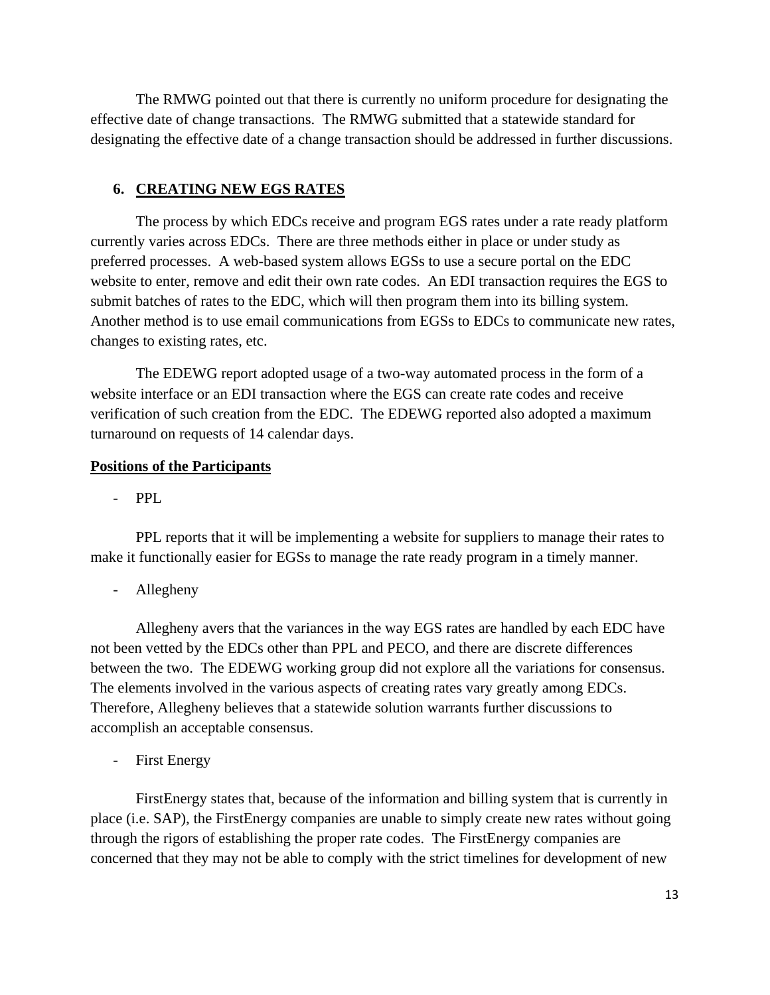The RMWG pointed out that there is currently no uniform procedure for designating the effective date of change transactions. The RMWG submitted that a statewide standard for designating the effective date of a change transaction should be addressed in further discussions.

### **6. CREATING NEW EGS RATES**

 The process by which EDCs receive and program EGS rates under a rate ready platform currently varies across EDCs. There are three methods either in place or under study as preferred processes. A web-based system allows EGSs to use a secure portal on the EDC website to enter, remove and edit their own rate codes. An EDI transaction requires the EGS to submit batches of rates to the EDC, which will then program them into its billing system. Another method is to use email communications from EGSs to EDCs to communicate new rates, changes to existing rates, etc.

 The EDEWG report adopted usage of a two-way automated process in the form of a website interface or an EDI transaction where the EGS can create rate codes and receive verification of such creation from the EDC. The EDEWG reported also adopted a maximum turnaround on requests of 14 calendar days.

#### **Positions of the Participants**

- PPL

PPL reports that it will be implementing a website for suppliers to manage their rates to make it functionally easier for EGSs to manage the rate ready program in a timely manner.

- Allegheny

Allegheny avers that the variances in the way EGS rates are handled by each EDC have not been vetted by the EDCs other than PPL and PECO, and there are discrete differences between the two. The EDEWG working group did not explore all the variations for consensus. The elements involved in the various aspects of creating rates vary greatly among EDCs. Therefore, Allegheny believes that a statewide solution warrants further discussions to accomplish an acceptable consensus.

First Energy

FirstEnergy states that, because of the information and billing system that is currently in place (i.e. SAP), the FirstEnergy companies are unable to simply create new rates without going through the rigors of establishing the proper rate codes. The FirstEnergy companies are concerned that they may not be able to comply with the strict timelines for development of new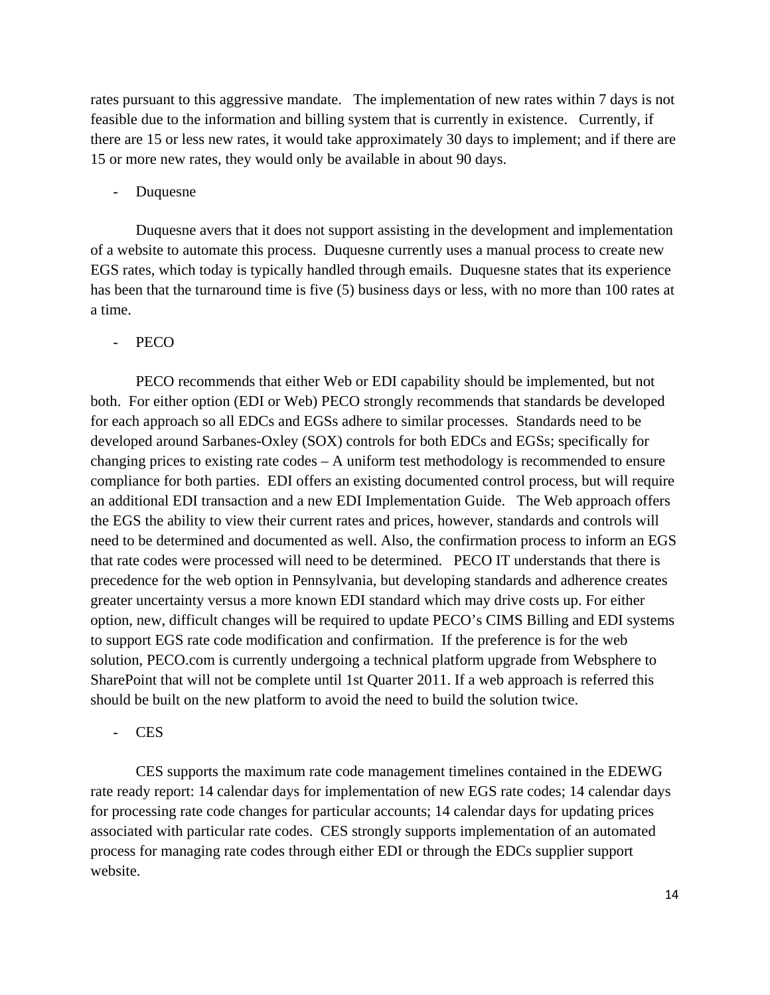rates pursuant to this aggressive mandate. The implementation of new rates within 7 days is not feasible due to the information and billing system that is currently in existence. Currently, if there are 15 or less new rates, it would take approximately 30 days to implement; and if there are 15 or more new rates, they would only be available in about 90 days.

- Duquesne

Duquesne avers that it does not support assisting in the development and implementation of a website to automate this process. Duquesne currently uses a manual process to create new EGS rates, which today is typically handled through emails. Duquesne states that its experience has been that the turnaround time is five (5) business days or less, with no more than 100 rates at a time.

#### PECO

PECO recommends that either Web or EDI capability should be implemented, but not both. For either option (EDI or Web) PECO strongly recommends that standards be developed for each approach so all EDCs and EGSs adhere to similar processes. Standards need to be developed around Sarbanes-Oxley (SOX) controls for both EDCs and EGSs; specifically for changing prices to existing rate codes – A uniform test methodology is recommended to ensure compliance for both parties. EDI offers an existing documented control process, but will require an additional EDI transaction and a new EDI Implementation Guide. The Web approach offers the EGS the ability to view their current rates and prices, however, standards and controls will need to be determined and documented as well. Also, the confirmation process to inform an EGS that rate codes were processed will need to be determined. PECO IT understands that there is precedence for the web option in Pennsylvania, but developing standards and adherence creates greater uncertainty versus a more known EDI standard which may drive costs up. For either option, new, difficult changes will be required to update PECO's CIMS Billing and EDI systems to support EGS rate code modification and confirmation. If the preference is for the web solution, PECO.com is currently undergoing a technical platform upgrade from Websphere to SharePoint that will not be complete until 1st Quarter 2011. If a web approach is referred this should be built on the new platform to avoid the need to build the solution twice.

#### - CES

CES supports the maximum rate code management timelines contained in the EDEWG rate ready report: 14 calendar days for implementation of new EGS rate codes; 14 calendar days for processing rate code changes for particular accounts; 14 calendar days for updating prices associated with particular rate codes. CES strongly supports implementation of an automated process for managing rate codes through either EDI or through the EDCs supplier support website.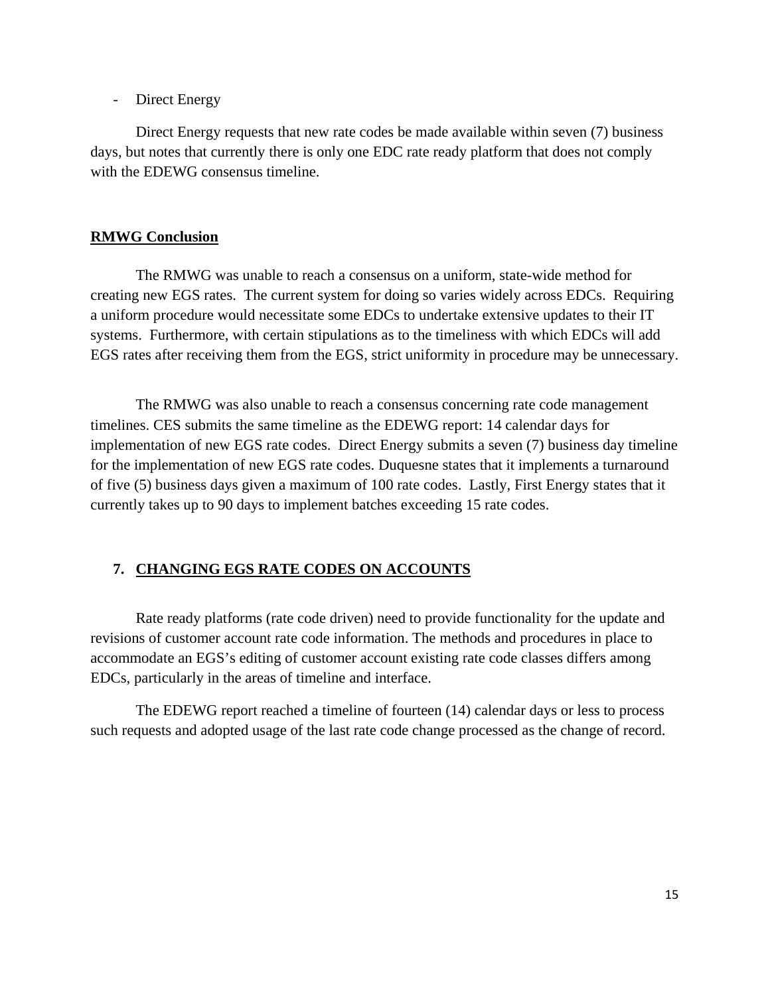### - Direct Energy

Direct Energy requests that new rate codes be made available within seven (7) business days, but notes that currently there is only one EDC rate ready platform that does not comply with the EDEWG consensus timeline.

### **RMWG Conclusion**

 The RMWG was unable to reach a consensus on a uniform, state-wide method for creating new EGS rates. The current system for doing so varies widely across EDCs. Requiring a uniform procedure would necessitate some EDCs to undertake extensive updates to their IT systems. Furthermore, with certain stipulations as to the timeliness with which EDCs will add EGS rates after receiving them from the EGS, strict uniformity in procedure may be unnecessary.

The RMWG was also unable to reach a consensus concerning rate code management timelines. CES submits the same timeline as the EDEWG report: 14 calendar days for implementation of new EGS rate codes. Direct Energy submits a seven (7) business day timeline for the implementation of new EGS rate codes. Duquesne states that it implements a turnaround of five (5) business days given a maximum of 100 rate codes. Lastly, First Energy states that it currently takes up to 90 days to implement batches exceeding 15 rate codes.

## **7. CHANGING EGS RATE CODES ON ACCOUNTS**

 Rate ready platforms (rate code driven) need to provide functionality for the update and revisions of customer account rate code information. The methods and procedures in place to accommodate an EGS's editing of customer account existing rate code classes differs among EDCs, particularly in the areas of timeline and interface.

The EDEWG report reached a timeline of fourteen (14) calendar days or less to process such requests and adopted usage of the last rate code change processed as the change of record.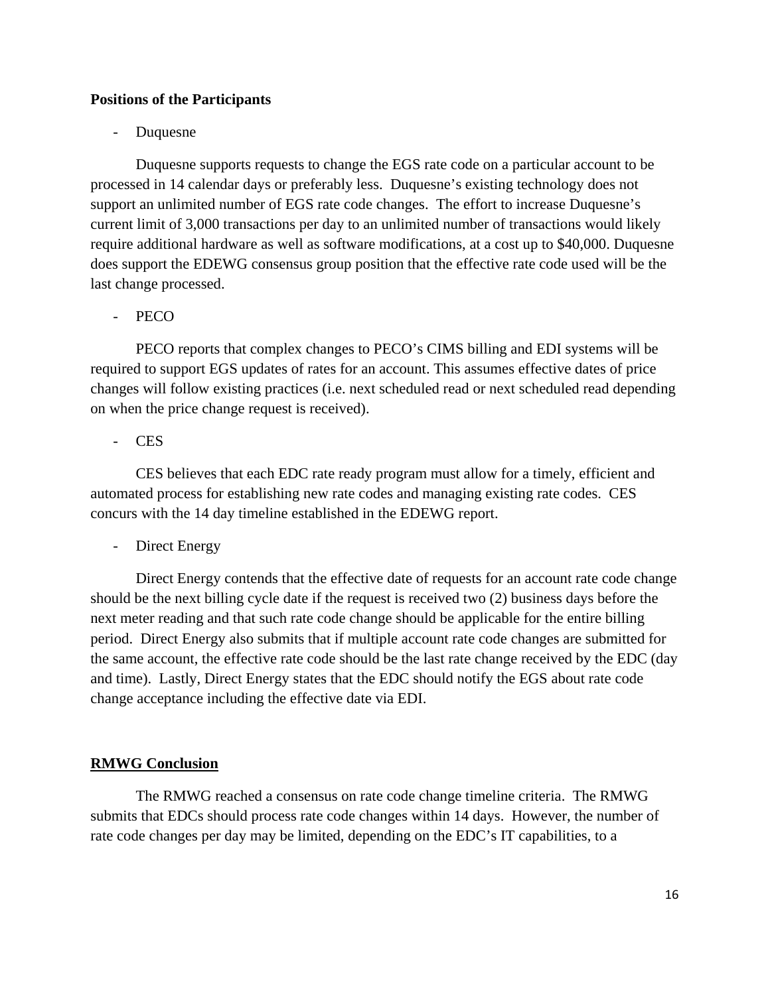## **Positions of the Participants**

#### **Duquesne**

Duquesne supports requests to change the EGS rate code on a particular account to be processed in 14 calendar days or preferably less. Duquesne's existing technology does not support an unlimited number of EGS rate code changes. The effort to increase Duquesne's current limit of 3,000 transactions per day to an unlimited number of transactions would likely require additional hardware as well as software modifications, at a cost up to \$40,000. Duquesne does support the EDEWG consensus group position that the effective rate code used will be the last change processed.

#### PECO

PECO reports that complex changes to PECO's CIMS billing and EDI systems will be required to support EGS updates of rates for an account. This assumes effective dates of price changes will follow existing practices (i.e. next scheduled read or next scheduled read depending on when the price change request is received).

#### - CES

CES believes that each EDC rate ready program must allow for a timely, efficient and automated process for establishing new rate codes and managing existing rate codes. CES concurs with the 14 day timeline established in the EDEWG report.

## - Direct Energy

Direct Energy contends that the effective date of requests for an account rate code change should be the next billing cycle date if the request is received two (2) business days before the next meter reading and that such rate code change should be applicable for the entire billing period. Direct Energy also submits that if multiple account rate code changes are submitted for the same account, the effective rate code should be the last rate change received by the EDC (day and time). Lastly, Direct Energy states that the EDC should notify the EGS about rate code change acceptance including the effective date via EDI.

#### **RMWG Conclusion**

The RMWG reached a consensus on rate code change timeline criteria. The RMWG submits that EDCs should process rate code changes within 14 days. However, the number of rate code changes per day may be limited, depending on the EDC's IT capabilities, to a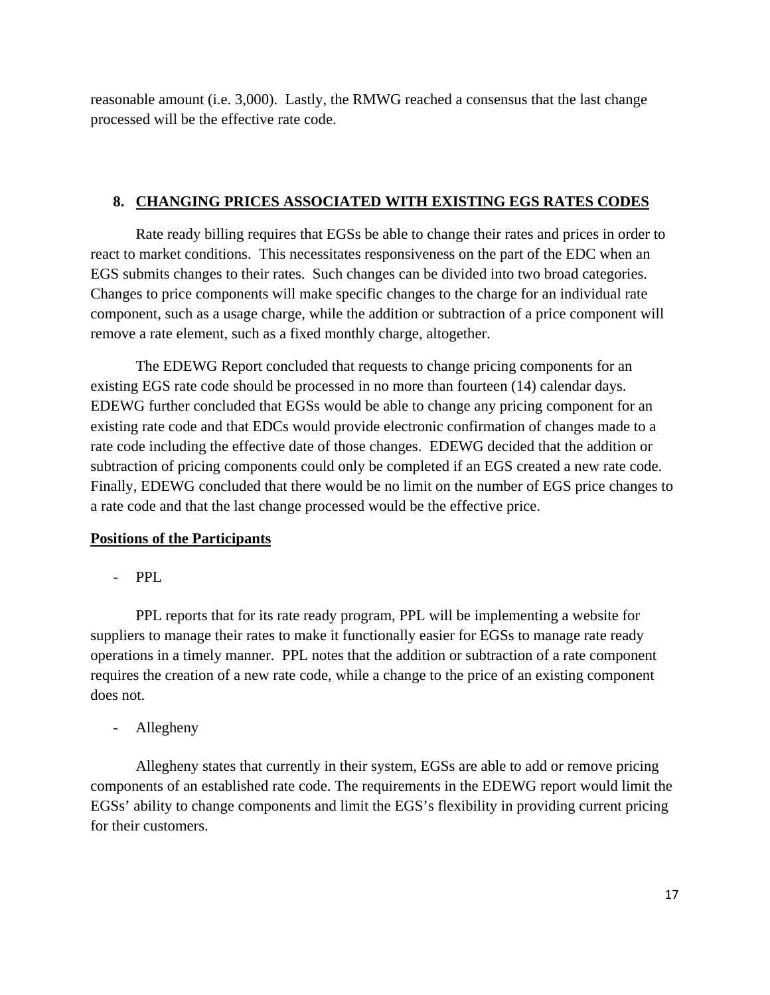reasonable amount (i.e. 3,000). Lastly, the RMWG reached a consensus that the last change processed will be the effective rate code.

## **8. CHANGING PRICES ASSOCIATED WITH EXISTING EGS RATES CODES**

 Rate ready billing requires that EGSs be able to change their rates and prices in order to react to market conditions. This necessitates responsiveness on the part of the EDC when an EGS submits changes to their rates. Such changes can be divided into two broad categories. Changes to price components will make specific changes to the charge for an individual rate component, such as a usage charge, while the addition or subtraction of a price component will remove a rate element, such as a fixed monthly charge, altogether.

The EDEWG Report concluded that requests to change pricing components for an existing EGS rate code should be processed in no more than fourteen (14) calendar days. EDEWG further concluded that EGSs would be able to change any pricing component for an existing rate code and that EDCs would provide electronic confirmation of changes made to a rate code including the effective date of those changes. EDEWG decided that the addition or subtraction of pricing components could only be completed if an EGS created a new rate code. Finally, EDEWG concluded that there would be no limit on the number of EGS price changes to a rate code and that the last change processed would be the effective price.

## **Positions of the Participants**

- PPL

PPL reports that for its rate ready program, PPL will be implementing a website for suppliers to manage their rates to make it functionally easier for EGSs to manage rate ready operations in a timely manner. PPL notes that the addition or subtraction of a rate component requires the creation of a new rate code, while a change to the price of an existing component does not.

- Allegheny

Allegheny states that currently in their system, EGSs are able to add or remove pricing components of an established rate code. The requirements in the EDEWG report would limit the EGSs' ability to change components and limit the EGS's flexibility in providing current pricing for their customers.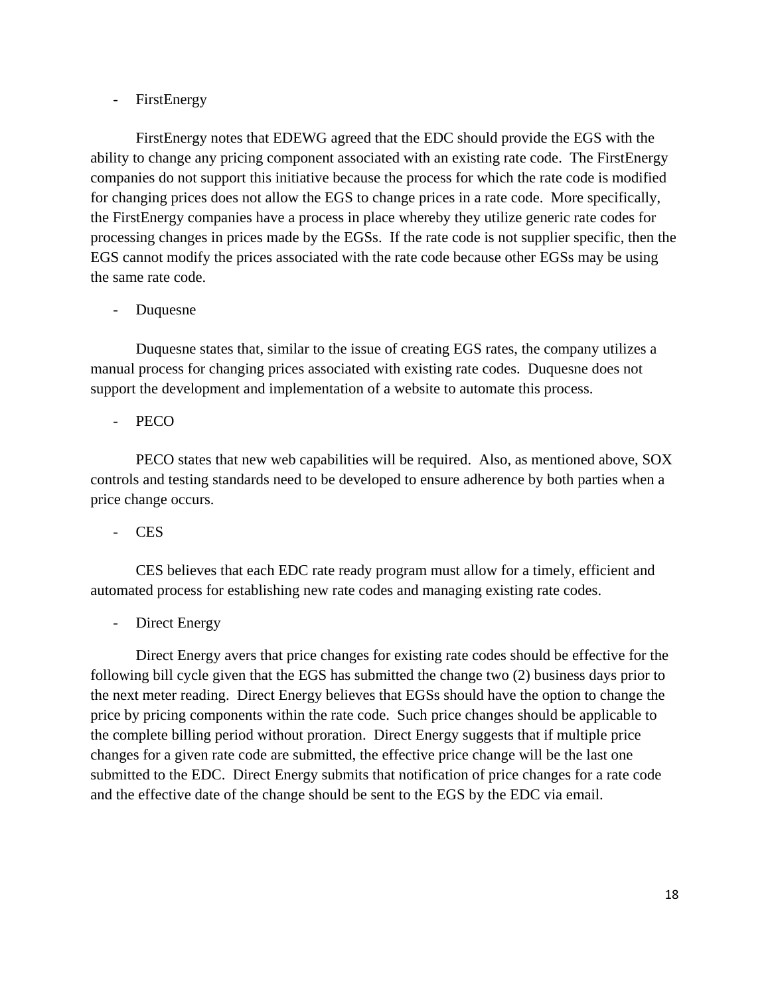## - FirstEnergy

FirstEnergy notes that EDEWG agreed that the EDC should provide the EGS with the ability to change any pricing component associated with an existing rate code. The FirstEnergy companies do not support this initiative because the process for which the rate code is modified for changing prices does not allow the EGS to change prices in a rate code. More specifically, the FirstEnergy companies have a process in place whereby they utilize generic rate codes for processing changes in prices made by the EGSs. If the rate code is not supplier specific, then the EGS cannot modify the prices associated with the rate code because other EGSs may be using the same rate code.

## - Duquesne

Duquesne states that, similar to the issue of creating EGS rates, the company utilizes a manual process for changing prices associated with existing rate codes. Duquesne does not support the development and implementation of a website to automate this process.

## PECO

PECO states that new web capabilities will be required. Also, as mentioned above, SOX controls and testing standards need to be developed to ensure adherence by both parties when a price change occurs.

- CES

CES believes that each EDC rate ready program must allow for a timely, efficient and automated process for establishing new rate codes and managing existing rate codes.

## Direct Energy

Direct Energy avers that price changes for existing rate codes should be effective for the following bill cycle given that the EGS has submitted the change two (2) business days prior to the next meter reading. Direct Energy believes that EGSs should have the option to change the price by pricing components within the rate code. Such price changes should be applicable to the complete billing period without proration. Direct Energy suggests that if multiple price changes for a given rate code are submitted, the effective price change will be the last one submitted to the EDC. Direct Energy submits that notification of price changes for a rate code and the effective date of the change should be sent to the EGS by the EDC via email.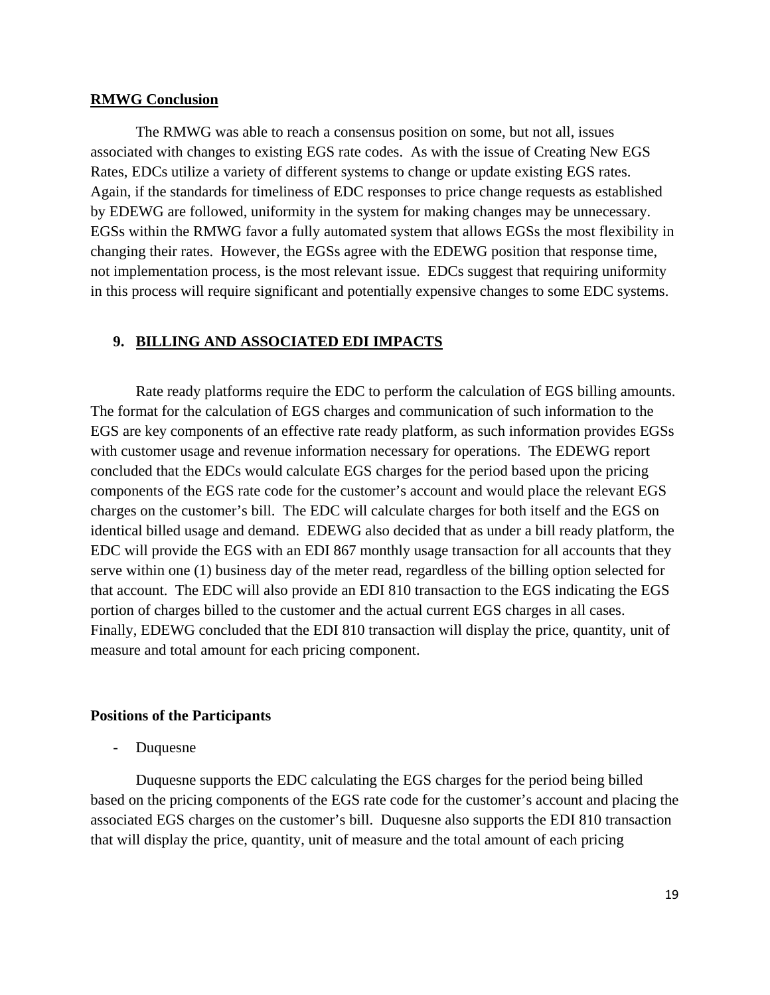#### **RMWG Conclusion**

 The RMWG was able to reach a consensus position on some, but not all, issues associated with changes to existing EGS rate codes. As with the issue of Creating New EGS Rates, EDCs utilize a variety of different systems to change or update existing EGS rates. Again, if the standards for timeliness of EDC responses to price change requests as established by EDEWG are followed, uniformity in the system for making changes may be unnecessary. EGSs within the RMWG favor a fully automated system that allows EGSs the most flexibility in changing their rates. However, the EGSs agree with the EDEWG position that response time, not implementation process, is the most relevant issue. EDCs suggest that requiring uniformity in this process will require significant and potentially expensive changes to some EDC systems.

### **9. BILLING AND ASSOCIATED EDI IMPACTS**

 Rate ready platforms require the EDC to perform the calculation of EGS billing amounts. The format for the calculation of EGS charges and communication of such information to the EGS are key components of an effective rate ready platform, as such information provides EGSs with customer usage and revenue information necessary for operations. The EDEWG report concluded that the EDCs would calculate EGS charges for the period based upon the pricing components of the EGS rate code for the customer's account and would place the relevant EGS charges on the customer's bill. The EDC will calculate charges for both itself and the EGS on identical billed usage and demand. EDEWG also decided that as under a bill ready platform, the EDC will provide the EGS with an EDI 867 monthly usage transaction for all accounts that they serve within one (1) business day of the meter read, regardless of the billing option selected for that account. The EDC will also provide an EDI 810 transaction to the EGS indicating the EGS portion of charges billed to the customer and the actual current EGS charges in all cases. Finally, EDEWG concluded that the EDI 810 transaction will display the price, quantity, unit of measure and total amount for each pricing component.

#### **Positions of the Participants**

**Duquesne** 

Duquesne supports the EDC calculating the EGS charges for the period being billed based on the pricing components of the EGS rate code for the customer's account and placing the associated EGS charges on the customer's bill. Duquesne also supports the EDI 810 transaction that will display the price, quantity, unit of measure and the total amount of each pricing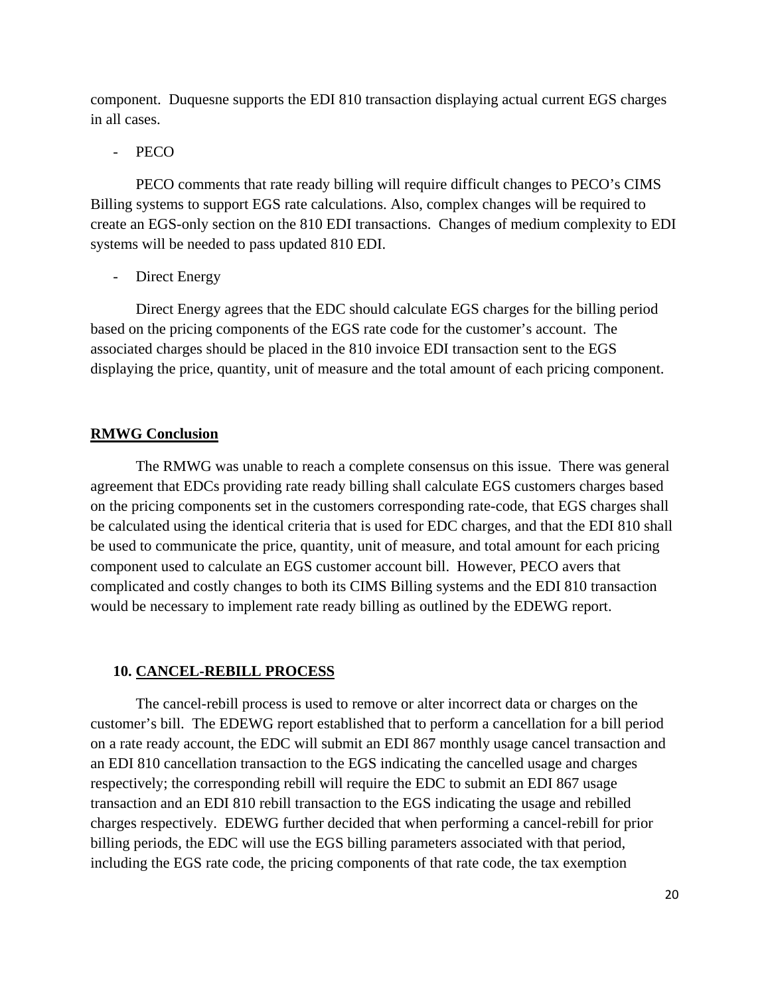component. Duquesne supports the EDI 810 transaction displaying actual current EGS charges in all cases.

### PECO

PECO comments that rate ready billing will require difficult changes to PECO's CIMS Billing systems to support EGS rate calculations. Also, complex changes will be required to create an EGS-only section on the 810 EDI transactions. Changes of medium complexity to EDI systems will be needed to pass updated 810 EDI.

Direct Energy

Direct Energy agrees that the EDC should calculate EGS charges for the billing period based on the pricing components of the EGS rate code for the customer's account. The associated charges should be placed in the 810 invoice EDI transaction sent to the EGS displaying the price, quantity, unit of measure and the total amount of each pricing component.

## **RMWG Conclusion**

The RMWG was unable to reach a complete consensus on this issue. There was general agreement that EDCs providing rate ready billing shall calculate EGS customers charges based on the pricing components set in the customers corresponding rate-code, that EGS charges shall be calculated using the identical criteria that is used for EDC charges, and that the EDI 810 shall be used to communicate the price, quantity, unit of measure, and total amount for each pricing component used to calculate an EGS customer account bill. However, PECO avers that complicated and costly changes to both its CIMS Billing systems and the EDI 810 transaction would be necessary to implement rate ready billing as outlined by the EDEWG report.

#### **10. CANCEL-REBILL PROCESS**

The cancel-rebill process is used to remove or alter incorrect data or charges on the customer's bill. The EDEWG report established that to perform a cancellation for a bill period on a rate ready account, the EDC will submit an EDI 867 monthly usage cancel transaction and an EDI 810 cancellation transaction to the EGS indicating the cancelled usage and charges respectively; the corresponding rebill will require the EDC to submit an EDI 867 usage transaction and an EDI 810 rebill transaction to the EGS indicating the usage and rebilled charges respectively. EDEWG further decided that when performing a cancel-rebill for prior billing periods, the EDC will use the EGS billing parameters associated with that period, including the EGS rate code, the pricing components of that rate code, the tax exemption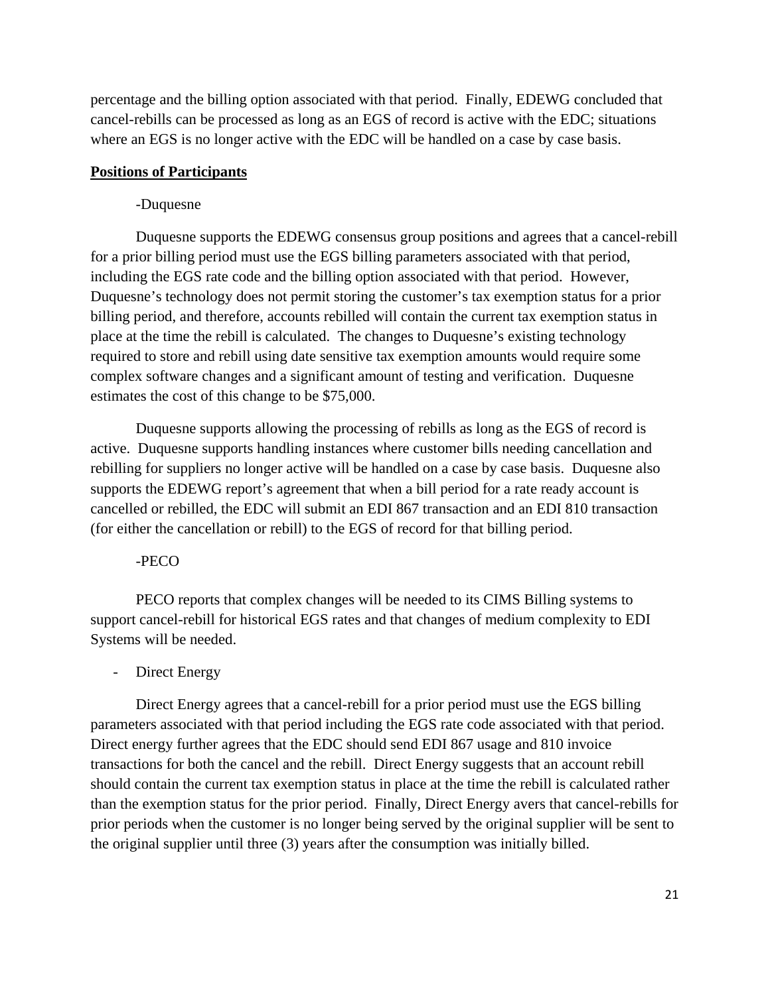percentage and the billing option associated with that period. Finally, EDEWG concluded that cancel-rebills can be processed as long as an EGS of record is active with the EDC; situations where an EGS is no longer active with the EDC will be handled on a case by case basis.

### **Positions of Participants**

#### -Duquesne

Duquesne supports the EDEWG consensus group positions and agrees that a cancel-rebill for a prior billing period must use the EGS billing parameters associated with that period, including the EGS rate code and the billing option associated with that period. However, Duquesne's technology does not permit storing the customer's tax exemption status for a prior billing period, and therefore, accounts rebilled will contain the current tax exemption status in place at the time the rebill is calculated. The changes to Duquesne's existing technology required to store and rebill using date sensitive tax exemption amounts would require some complex software changes and a significant amount of testing and verification. Duquesne estimates the cost of this change to be \$75,000.

Duquesne supports allowing the processing of rebills as long as the EGS of record is active. Duquesne supports handling instances where customer bills needing cancellation and rebilling for suppliers no longer active will be handled on a case by case basis. Duquesne also supports the EDEWG report's agreement that when a bill period for a rate ready account is cancelled or rebilled, the EDC will submit an EDI 867 transaction and an EDI 810 transaction (for either the cancellation or rebill) to the EGS of record for that billing period.

#### -PECO

PECO reports that complex changes will be needed to its CIMS Billing systems to support cancel-rebill for historical EGS rates and that changes of medium complexity to EDI Systems will be needed.

### - Direct Energy

Direct Energy agrees that a cancel-rebill for a prior period must use the EGS billing parameters associated with that period including the EGS rate code associated with that period. Direct energy further agrees that the EDC should send EDI 867 usage and 810 invoice transactions for both the cancel and the rebill. Direct Energy suggests that an account rebill should contain the current tax exemption status in place at the time the rebill is calculated rather than the exemption status for the prior period. Finally, Direct Energy avers that cancel-rebills for prior periods when the customer is no longer being served by the original supplier will be sent to the original supplier until three (3) years after the consumption was initially billed.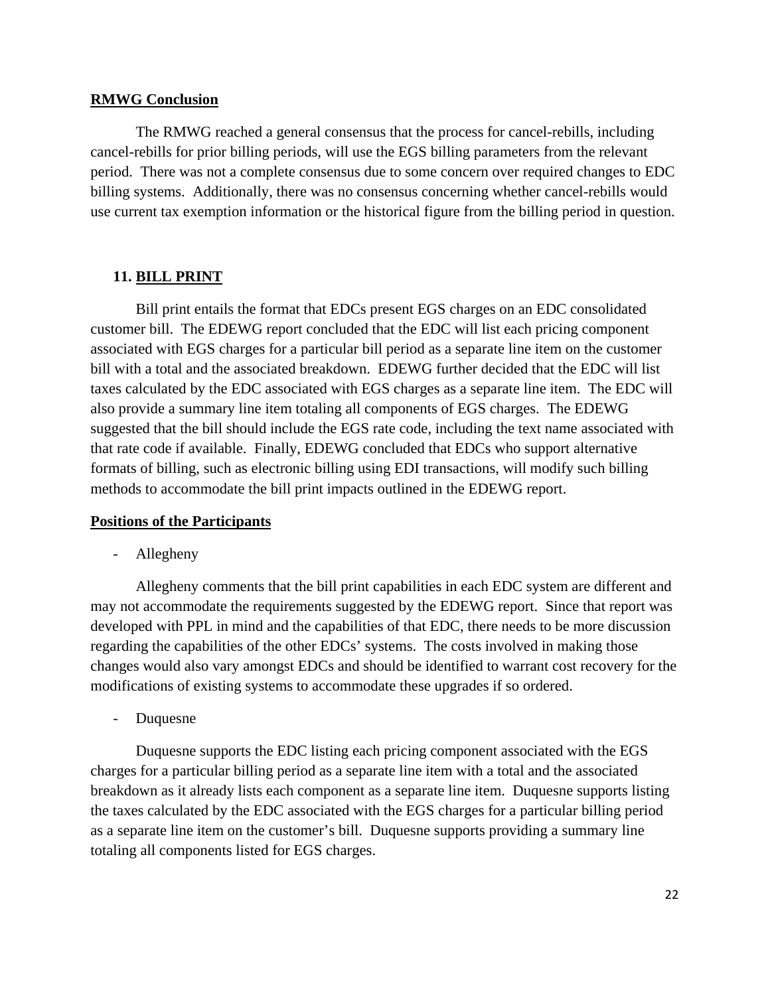#### **RMWG Conclusion**

 The RMWG reached a general consensus that the process for cancel-rebills, including cancel-rebills for prior billing periods, will use the EGS billing parameters from the relevant period. There was not a complete consensus due to some concern over required changes to EDC billing systems. Additionally, there was no consensus concerning whether cancel-rebills would use current tax exemption information or the historical figure from the billing period in question.

## **11. BILL PRINT**

 Bill print entails the format that EDCs present EGS charges on an EDC consolidated customer bill. The EDEWG report concluded that the EDC will list each pricing component associated with EGS charges for a particular bill period as a separate line item on the customer bill with a total and the associated breakdown. EDEWG further decided that the EDC will list taxes calculated by the EDC associated with EGS charges as a separate line item. The EDC will also provide a summary line item totaling all components of EGS charges. The EDEWG suggested that the bill should include the EGS rate code, including the text name associated with that rate code if available. Finally, EDEWG concluded that EDCs who support alternative formats of billing, such as electronic billing using EDI transactions, will modify such billing methods to accommodate the bill print impacts outlined in the EDEWG report.

#### **Positions of the Participants**

- Allegheny

Allegheny comments that the bill print capabilities in each EDC system are different and may not accommodate the requirements suggested by the EDEWG report. Since that report was developed with PPL in mind and the capabilities of that EDC, there needs to be more discussion regarding the capabilities of the other EDCs' systems. The costs involved in making those changes would also vary amongst EDCs and should be identified to warrant cost recovery for the modifications of existing systems to accommodate these upgrades if so ordered.

- Duquesne

Duquesne supports the EDC listing each pricing component associated with the EGS charges for a particular billing period as a separate line item with a total and the associated breakdown as it already lists each component as a separate line item. Duquesne supports listing the taxes calculated by the EDC associated with the EGS charges for a particular billing period as a separate line item on the customer's bill. Duquesne supports providing a summary line totaling all components listed for EGS charges.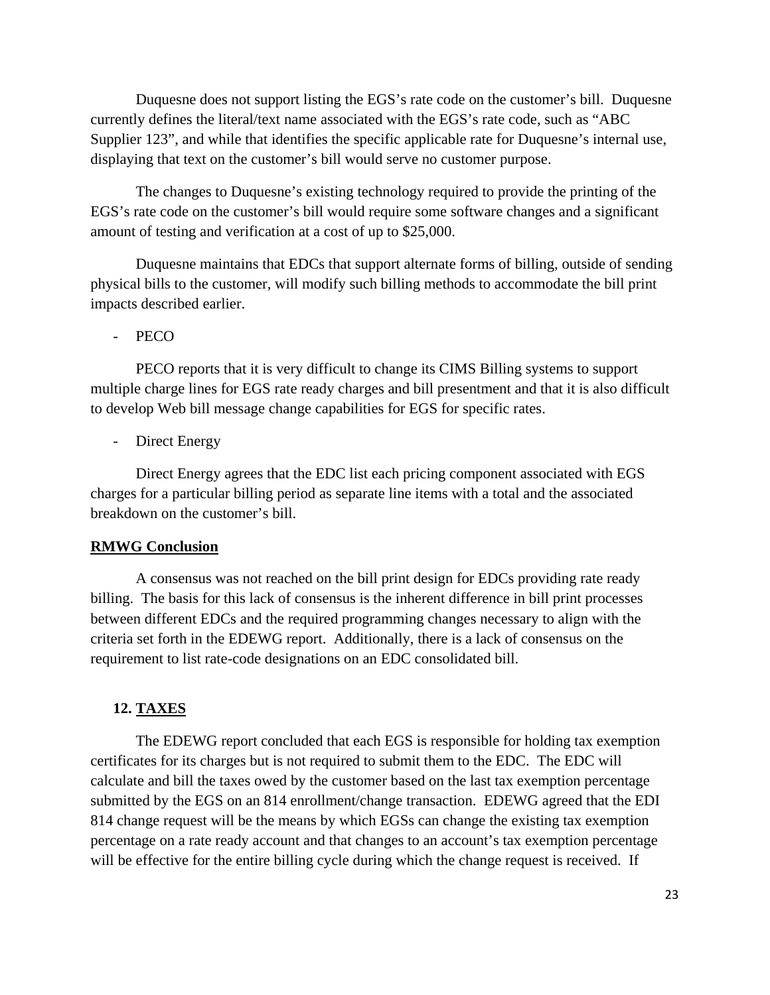Duquesne does not support listing the EGS's rate code on the customer's bill. Duquesne currently defines the literal/text name associated with the EGS's rate code, such as "ABC Supplier 123", and while that identifies the specific applicable rate for Duquesne's internal use, displaying that text on the customer's bill would serve no customer purpose.

The changes to Duquesne's existing technology required to provide the printing of the EGS's rate code on the customer's bill would require some software changes and a significant amount of testing and verification at a cost of up to \$25,000.

Duquesne maintains that EDCs that support alternate forms of billing, outside of sending physical bills to the customer, will modify such billing methods to accommodate the bill print impacts described earlier.

PECO

PECO reports that it is very difficult to change its CIMS Billing systems to support multiple charge lines for EGS rate ready charges and bill presentment and that it is also difficult to develop Web bill message change capabilities for EGS for specific rates.

Direct Energy

Direct Energy agrees that the EDC list each pricing component associated with EGS charges for a particular billing period as separate line items with a total and the associated breakdown on the customer's bill.

#### **RMWG Conclusion**

A consensus was not reached on the bill print design for EDCs providing rate ready billing. The basis for this lack of consensus is the inherent difference in bill print processes between different EDCs and the required programming changes necessary to align with the criteria set forth in the EDEWG report. Additionally, there is a lack of consensus on the requirement to list rate-code designations on an EDC consolidated bill.

## **12. TAXES**

The EDEWG report concluded that each EGS is responsible for holding tax exemption certificates for its charges but is not required to submit them to the EDC. The EDC will calculate and bill the taxes owed by the customer based on the last tax exemption percentage submitted by the EGS on an 814 enrollment/change transaction. EDEWG agreed that the EDI 814 change request will be the means by which EGSs can change the existing tax exemption percentage on a rate ready account and that changes to an account's tax exemption percentage will be effective for the entire billing cycle during which the change request is received. If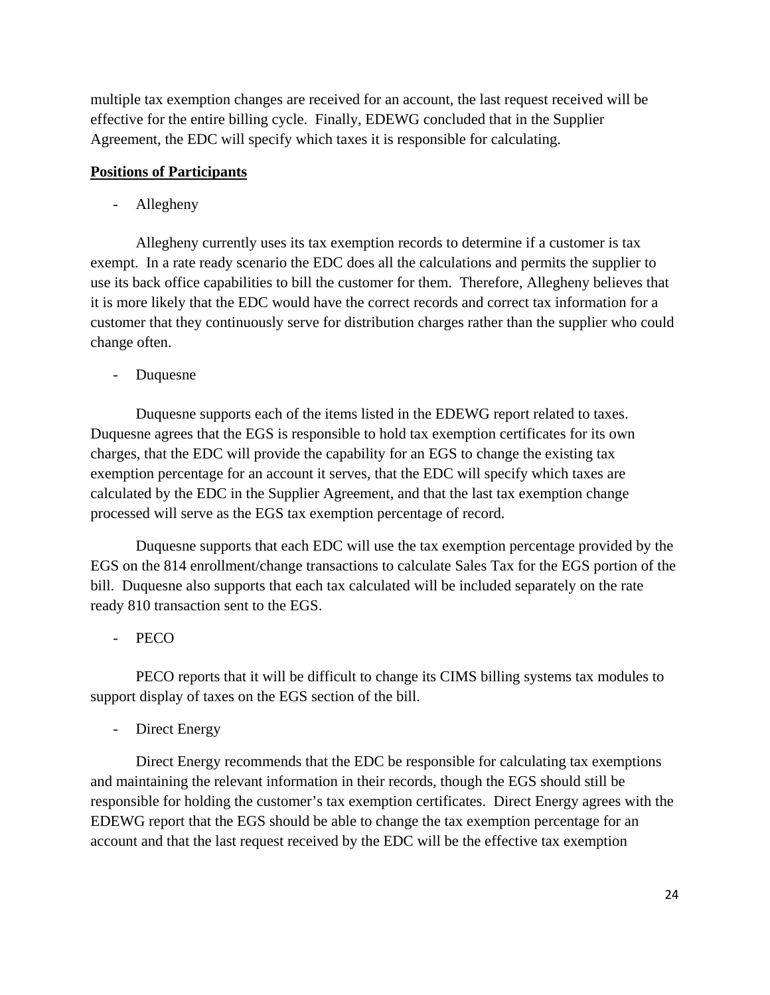multiple tax exemption changes are received for an account, the last request received will be effective for the entire billing cycle. Finally, EDEWG concluded that in the Supplier Agreement, the EDC will specify which taxes it is responsible for calculating.

### **Positions of Participants**

- Allegheny

Allegheny currently uses its tax exemption records to determine if a customer is tax exempt. In a rate ready scenario the EDC does all the calculations and permits the supplier to use its back office capabilities to bill the customer for them. Therefore, Allegheny believes that it is more likely that the EDC would have the correct records and correct tax information for a customer that they continuously serve for distribution charges rather than the supplier who could change often.

- Duquesne

Duquesne supports each of the items listed in the EDEWG report related to taxes. Duquesne agrees that the EGS is responsible to hold tax exemption certificates for its own charges, that the EDC will provide the capability for an EGS to change the existing tax exemption percentage for an account it serves, that the EDC will specify which taxes are calculated by the EDC in the Supplier Agreement, and that the last tax exemption change processed will serve as the EGS tax exemption percentage of record.

Duquesne supports that each EDC will use the tax exemption percentage provided by the EGS on the 814 enrollment/change transactions to calculate Sales Tax for the EGS portion of the bill. Duquesne also supports that each tax calculated will be included separately on the rate ready 810 transaction sent to the EGS.

- PECO

PECO reports that it will be difficult to change its CIMS billing systems tax modules to support display of taxes on the EGS section of the bill.

Direct Energy

Direct Energy recommends that the EDC be responsible for calculating tax exemptions and maintaining the relevant information in their records, though the EGS should still be responsible for holding the customer's tax exemption certificates. Direct Energy agrees with the EDEWG report that the EGS should be able to change the tax exemption percentage for an account and that the last request received by the EDC will be the effective tax exemption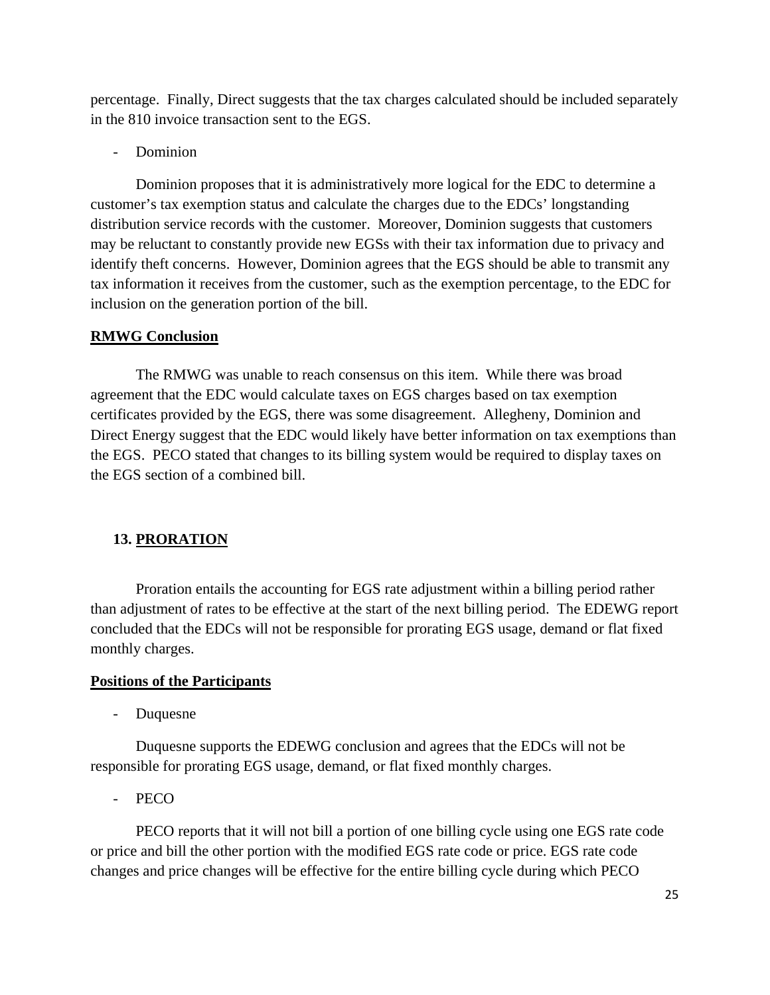percentage. Finally, Direct suggests that the tax charges calculated should be included separately in the 810 invoice transaction sent to the EGS.

Dominion

Dominion proposes that it is administratively more logical for the EDC to determine a customer's tax exemption status and calculate the charges due to the EDCs' longstanding distribution service records with the customer. Moreover, Dominion suggests that customers may be reluctant to constantly provide new EGSs with their tax information due to privacy and identify theft concerns. However, Dominion agrees that the EGS should be able to transmit any tax information it receives from the customer, such as the exemption percentage, to the EDC for inclusion on the generation portion of the bill.

## **RMWG Conclusion**

 The RMWG was unable to reach consensus on this item. While there was broad agreement that the EDC would calculate taxes on EGS charges based on tax exemption certificates provided by the EGS, there was some disagreement. Allegheny, Dominion and Direct Energy suggest that the EDC would likely have better information on tax exemptions than the EGS. PECO stated that changes to its billing system would be required to display taxes on the EGS section of a combined bill.

## **13. PRORATION**

 Proration entails the accounting for EGS rate adjustment within a billing period rather than adjustment of rates to be effective at the start of the next billing period. The EDEWG report concluded that the EDCs will not be responsible for prorating EGS usage, demand or flat fixed monthly charges.

## **Positions of the Participants**

- Duquesne

Duquesne supports the EDEWG conclusion and agrees that the EDCs will not be responsible for prorating EGS usage, demand, or flat fixed monthly charges.

- PECO

PECO reports that it will not bill a portion of one billing cycle using one EGS rate code or price and bill the other portion with the modified EGS rate code or price. EGS rate code changes and price changes will be effective for the entire billing cycle during which PECO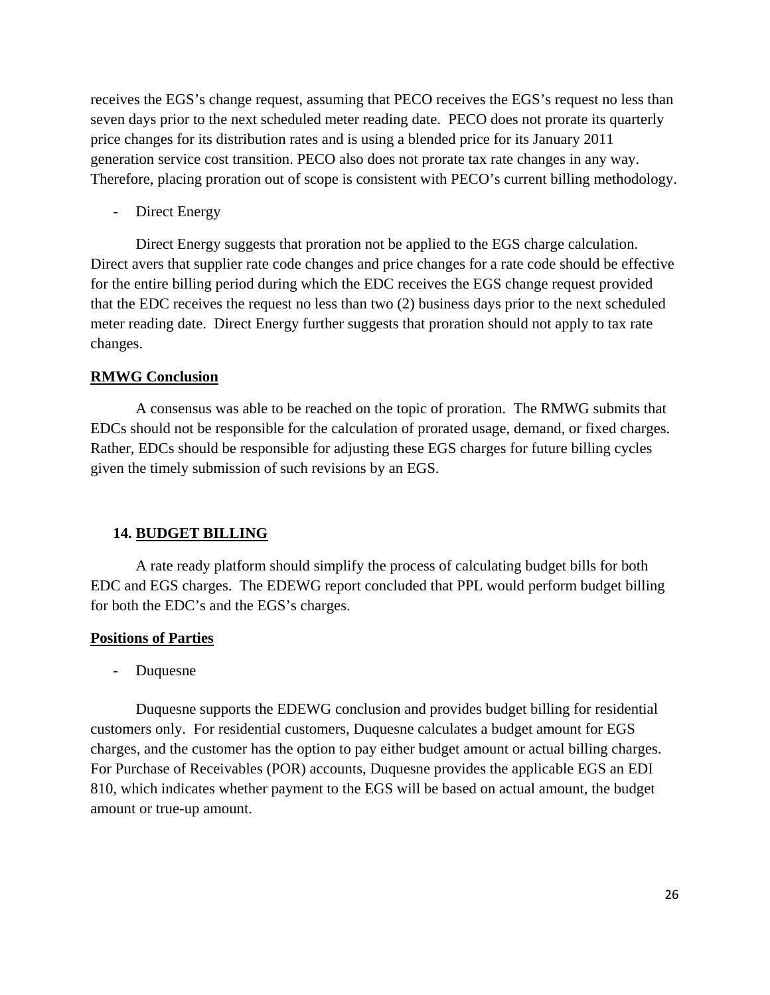receives the EGS's change request, assuming that PECO receives the EGS's request no less than seven days prior to the next scheduled meter reading date. PECO does not prorate its quarterly price changes for its distribution rates and is using a blended price for its January 2011 generation service cost transition. PECO also does not prorate tax rate changes in any way. Therefore, placing proration out of scope is consistent with PECO's current billing methodology.

Direct Energy

Direct Energy suggests that proration not be applied to the EGS charge calculation. Direct avers that supplier rate code changes and price changes for a rate code should be effective for the entire billing period during which the EDC receives the EGS change request provided that the EDC receives the request no less than two (2) business days prior to the next scheduled meter reading date. Direct Energy further suggests that proration should not apply to tax rate changes.

### **RMWG Conclusion**

A consensus was able to be reached on the topic of proration. The RMWG submits that EDCs should not be responsible for the calculation of prorated usage, demand, or fixed charges. Rather, EDCs should be responsible for adjusting these EGS charges for future billing cycles given the timely submission of such revisions by an EGS.

#### **14. BUDGET BILLING**

A rate ready platform should simplify the process of calculating budget bills for both EDC and EGS charges. The EDEWG report concluded that PPL would perform budget billing for both the EDC's and the EGS's charges.

#### **Positions of Parties**

- Duquesne

Duquesne supports the EDEWG conclusion and provides budget billing for residential customers only. For residential customers, Duquesne calculates a budget amount for EGS charges, and the customer has the option to pay either budget amount or actual billing charges. For Purchase of Receivables (POR) accounts, Duquesne provides the applicable EGS an EDI 810, which indicates whether payment to the EGS will be based on actual amount, the budget amount or true-up amount.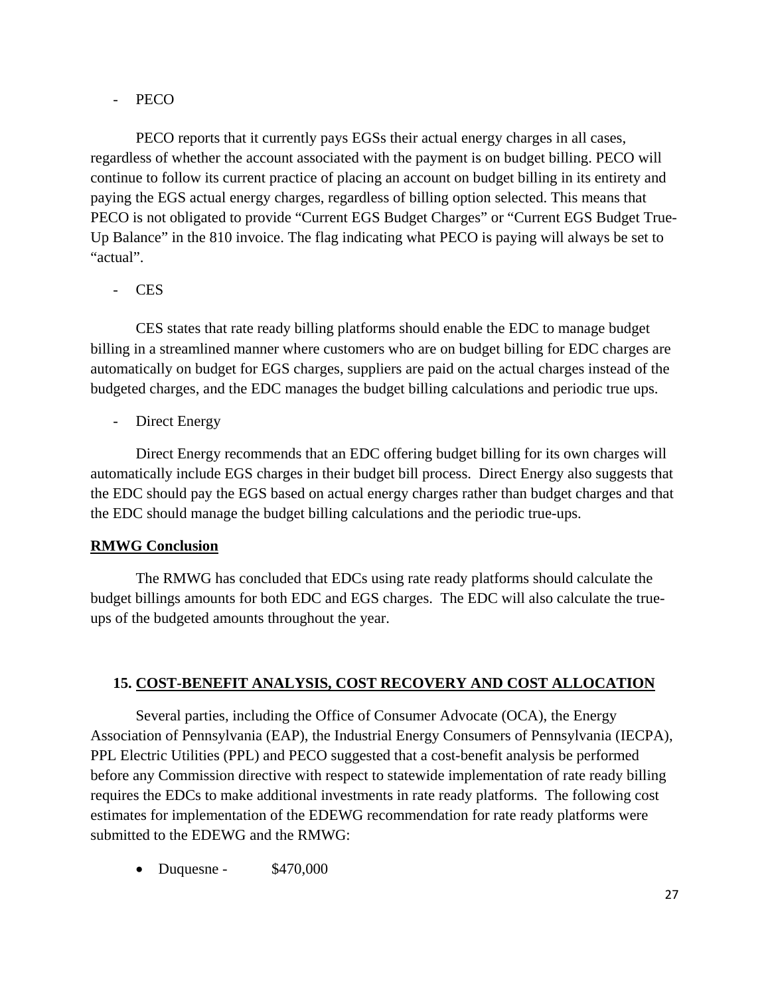## - PECO

PECO reports that it currently pays EGSs their actual energy charges in all cases, regardless of whether the account associated with the payment is on budget billing. PECO will continue to follow its current practice of placing an account on budget billing in its entirety and paying the EGS actual energy charges, regardless of billing option selected. This means that PECO is not obligated to provide "Current EGS Budget Charges" or "Current EGS Budget True-Up Balance" in the 810 invoice. The flag indicating what PECO is paying will always be set to "actual".

## - CES

CES states that rate ready billing platforms should enable the EDC to manage budget billing in a streamlined manner where customers who are on budget billing for EDC charges are automatically on budget for EGS charges, suppliers are paid on the actual charges instead of the budgeted charges, and the EDC manages the budget billing calculations and periodic true ups.

Direct Energy

Direct Energy recommends that an EDC offering budget billing for its own charges will automatically include EGS charges in their budget bill process. Direct Energy also suggests that the EDC should pay the EGS based on actual energy charges rather than budget charges and that the EDC should manage the budget billing calculations and the periodic true-ups.

## **RMWG Conclusion**

 The RMWG has concluded that EDCs using rate ready platforms should calculate the budget billings amounts for both EDC and EGS charges. The EDC will also calculate the trueups of the budgeted amounts throughout the year.

## **15. COST-BENEFIT ANALYSIS, COST RECOVERY AND COST ALLOCATION**

Several parties, including the Office of Consumer Advocate (OCA), the Energy Association of Pennsylvania (EAP), the Industrial Energy Consumers of Pennsylvania (IECPA), PPL Electric Utilities (PPL) and PECO suggested that a cost-benefit analysis be performed before any Commission directive with respect to statewide implementation of rate ready billing requires the EDCs to make additional investments in rate ready platforms. The following cost estimates for implementation of the EDEWG recommendation for rate ready platforms were submitted to the EDEWG and the RMWG:

• Duquesne -  $$470,000$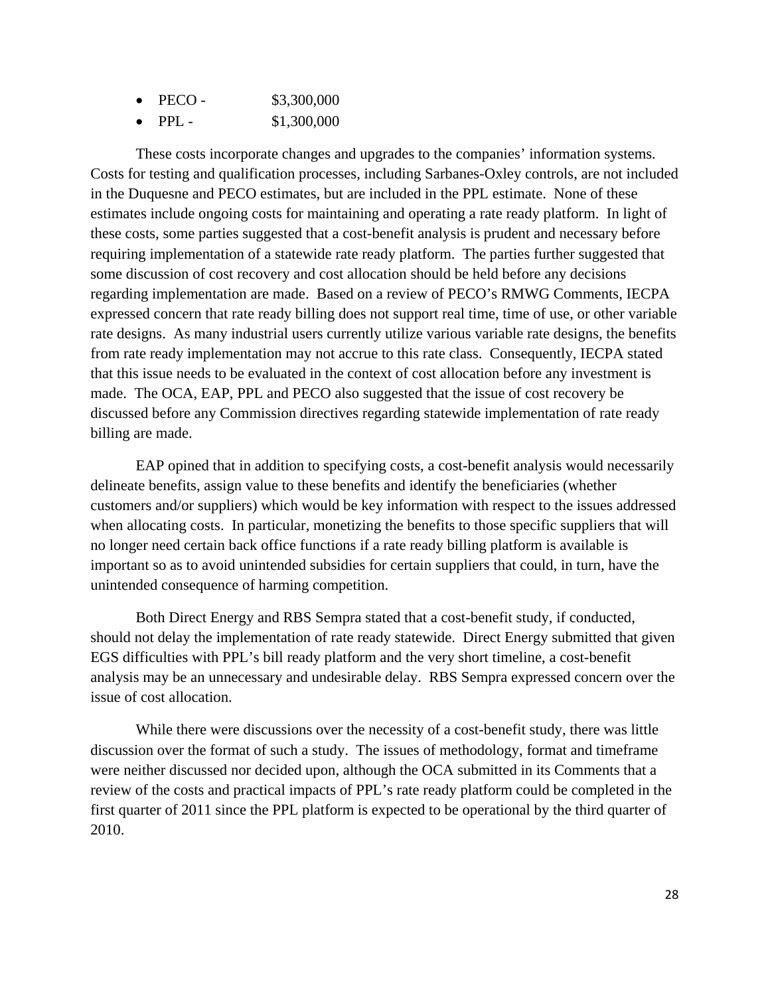| PECO -  | \$3,300,000 |
|---------|-------------|
| $PPI =$ | \$1,300,000 |

These costs incorporate changes and upgrades to the companies' information systems. Costs for testing and qualification processes, including Sarbanes-Oxley controls, are not included in the Duquesne and PECO estimates, but are included in the PPL estimate. None of these estimates include ongoing costs for maintaining and operating a rate ready platform. In light of these costs, some parties suggested that a cost-benefit analysis is prudent and necessary before requiring implementation of a statewide rate ready platform. The parties further suggested that some discussion of cost recovery and cost allocation should be held before any decisions regarding implementation are made. Based on a review of PECO's RMWG Comments, IECPA expressed concern that rate ready billing does not support real time, time of use, or other variable rate designs. As many industrial users currently utilize various variable rate designs, the benefits from rate ready implementation may not accrue to this rate class. Consequently, IECPA stated that this issue needs to be evaluated in the context of cost allocation before any investment is made. The OCA, EAP, PPL and PECO also suggested that the issue of cost recovery be discussed before any Commission directives regarding statewide implementation of rate ready billing are made.

EAP opined that in addition to specifying costs, a cost-benefit analysis would necessarily delineate benefits, assign value to these benefits and identify the beneficiaries (whether customers and/or suppliers) which would be key information with respect to the issues addressed when allocating costs. In particular, monetizing the benefits to those specific suppliers that will no longer need certain back office functions if a rate ready billing platform is available is important so as to avoid unintended subsidies for certain suppliers that could, in turn, have the unintended consequence of harming competition.

Both Direct Energy and RBS Sempra stated that a cost-benefit study, if conducted, should not delay the implementation of rate ready statewide. Direct Energy submitted that given EGS difficulties with PPL's bill ready platform and the very short timeline, a cost-benefit analysis may be an unnecessary and undesirable delay. RBS Sempra expressed concern over the issue of cost allocation.

While there were discussions over the necessity of a cost-benefit study, there was little discussion over the format of such a study. The issues of methodology, format and timeframe were neither discussed nor decided upon, although the OCA submitted in its Comments that a review of the costs and practical impacts of PPL's rate ready platform could be completed in the first quarter of 2011 since the PPL platform is expected to be operational by the third quarter of 2010.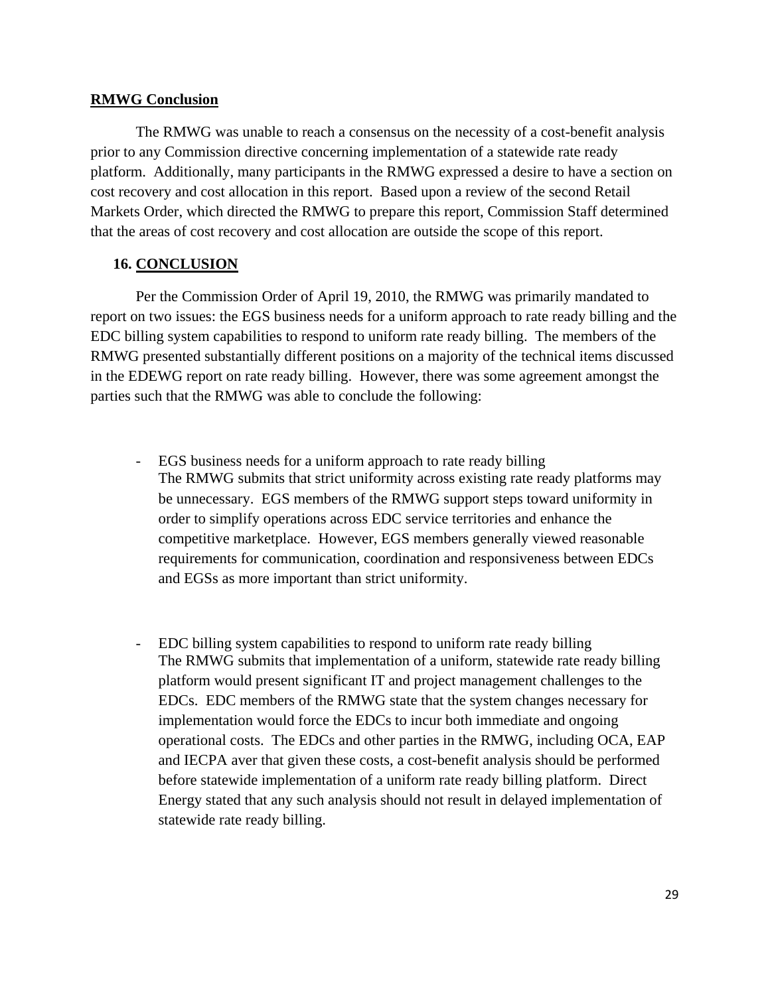### **RMWG Conclusion**

The RMWG was unable to reach a consensus on the necessity of a cost-benefit analysis prior to any Commission directive concerning implementation of a statewide rate ready platform. Additionally, many participants in the RMWG expressed a desire to have a section on cost recovery and cost allocation in this report. Based upon a review of the second Retail Markets Order, which directed the RMWG to prepare this report, Commission Staff determined that the areas of cost recovery and cost allocation are outside the scope of this report.

## **16. CONCLUSION**

Per the Commission Order of April 19, 2010, the RMWG was primarily mandated to report on two issues: the EGS business needs for a uniform approach to rate ready billing and the EDC billing system capabilities to respond to uniform rate ready billing. The members of the RMWG presented substantially different positions on a majority of the technical items discussed in the EDEWG report on rate ready billing. However, there was some agreement amongst the parties such that the RMWG was able to conclude the following:

- EGS business needs for a uniform approach to rate ready billing The RMWG submits that strict uniformity across existing rate ready platforms may be unnecessary. EGS members of the RMWG support steps toward uniformity in order to simplify operations across EDC service territories and enhance the competitive marketplace. However, EGS members generally viewed reasonable requirements for communication, coordination and responsiveness between EDCs and EGSs as more important than strict uniformity.
- EDC billing system capabilities to respond to uniform rate ready billing The RMWG submits that implementation of a uniform, statewide rate ready billing platform would present significant IT and project management challenges to the EDCs. EDC members of the RMWG state that the system changes necessary for implementation would force the EDCs to incur both immediate and ongoing operational costs. The EDCs and other parties in the RMWG, including OCA, EAP and IECPA aver that given these costs, a cost-benefit analysis should be performed before statewide implementation of a uniform rate ready billing platform. Direct Energy stated that any such analysis should not result in delayed implementation of statewide rate ready billing.